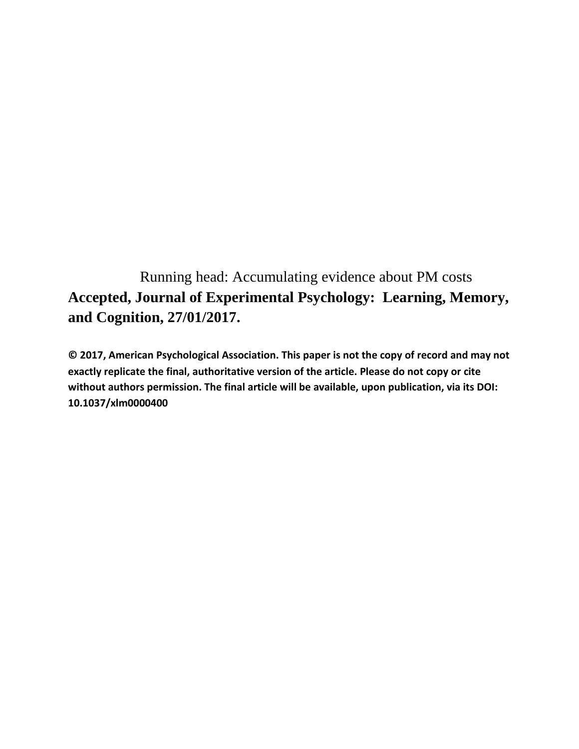# Running head: Accumulating evidence about PM costs **Accepted, Journal of Experimental Psychology: Learning, Memory, and Cognition, 27/01/2017.**

**© 2017, American Psychological Association. This paper is not the copy of record and may not exactly replicate the final, authoritative version of the article. Please do not copy or cite without authors permission. The final article will be available, upon publication, via its DOI: 10.1037/xlm0000400**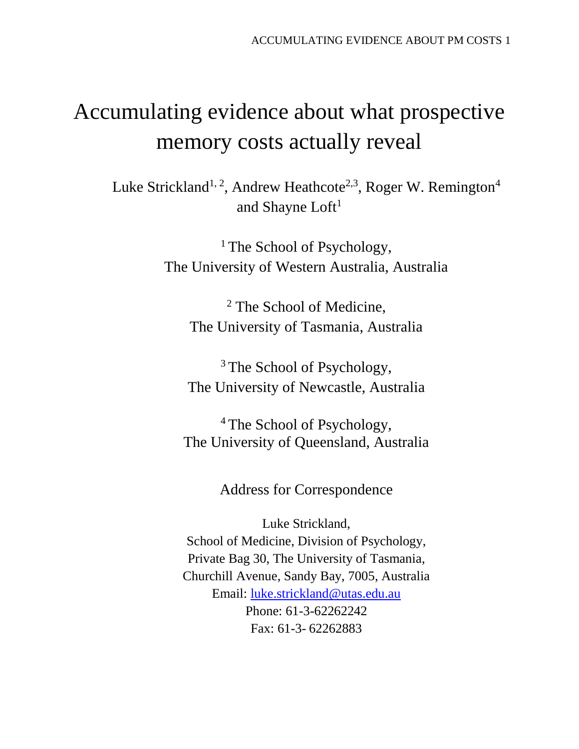# Accumulating evidence about what prospective memory costs actually reveal

Luke Strickland<sup>1, 2</sup>, Andrew Heathcote<sup>2,3</sup>, Roger W. Remington<sup>4</sup> and Shayne Loft<sup>1</sup>

> <sup>1</sup> The School of Psychology, The University of Western Australia, Australia

<sup>2</sup> The School of Medicine, The University of Tasmania, Australia

<sup>3</sup> The School of Psychology, The University of Newcastle, Australia

<sup>4</sup>The School of Psychology, The University of Queensland, Australia

Address for Correspondence

Luke Strickland, School of Medicine, Division of Psychology, Private Bag 30, The University of Tasmania, Churchill Avenue, Sandy Bay, 7005, Australia Email: [luke.strickland@utas.edu.au](mailto:luke.strickland@utas.edu.au) Phone: 61-3-62262242 Fax: 61-3- 62262883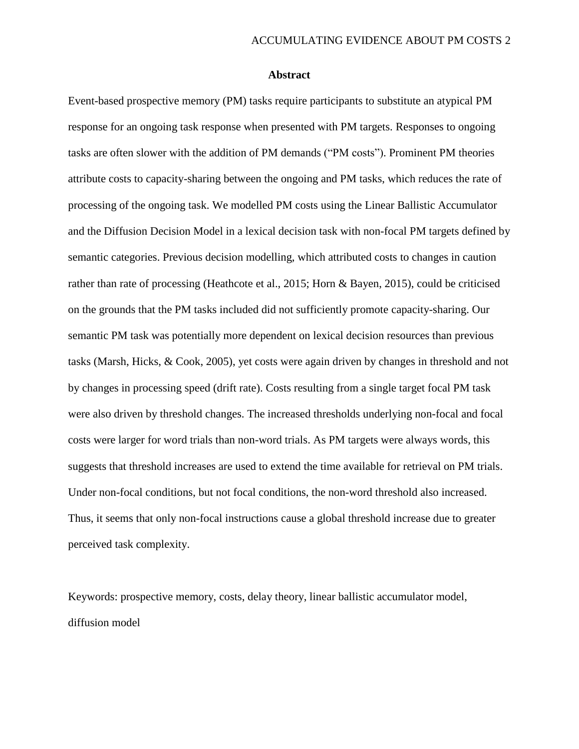#### **Abstract**

Event-based prospective memory (PM) tasks require participants to substitute an atypical PM response for an ongoing task response when presented with PM targets. Responses to ongoing tasks are often slower with the addition of PM demands ("PM costs"). Prominent PM theories attribute costs to capacity-sharing between the ongoing and PM tasks, which reduces the rate of processing of the ongoing task. We modelled PM costs using the Linear Ballistic Accumulator and the Diffusion Decision Model in a lexical decision task with non-focal PM targets defined by semantic categories. Previous decision modelling, which attributed costs to changes in caution rather than rate of processing (Heathcote et al., 2015; Horn & Bayen, 2015), could be criticised on the grounds that the PM tasks included did not sufficiently promote capacity-sharing. Our semantic PM task was potentially more dependent on lexical decision resources than previous tasks (Marsh, Hicks, & Cook, 2005), yet costs were again driven by changes in threshold and not by changes in processing speed (drift rate). Costs resulting from a single target focal PM task were also driven by threshold changes. The increased thresholds underlying non-focal and focal costs were larger for word trials than non-word trials. As PM targets were always words, this suggests that threshold increases are used to extend the time available for retrieval on PM trials. Under non-focal conditions, but not focal conditions, the non-word threshold also increased. Thus, it seems that only non-focal instructions cause a global threshold increase due to greater perceived task complexity.

Keywords: prospective memory, costs, delay theory, linear ballistic accumulator model, diffusion model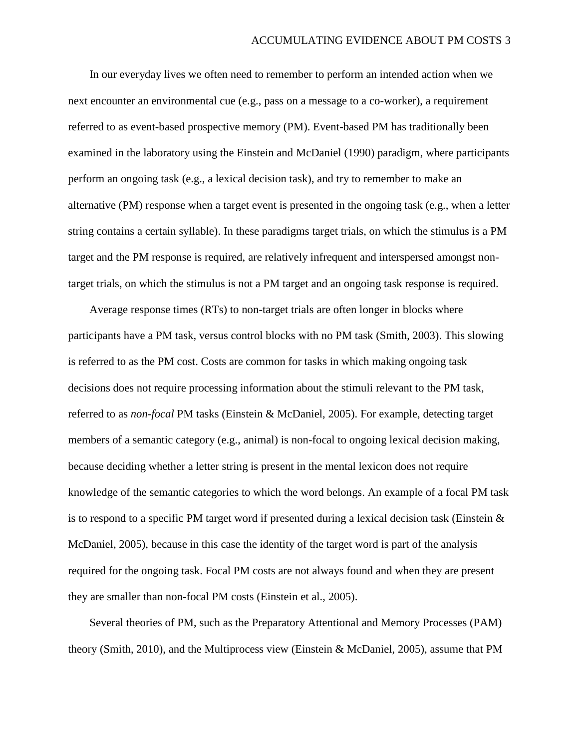In our everyday lives we often need to remember to perform an intended action when we next encounter an environmental cue (e.g., pass on a message to a co-worker), a requirement referred to as event-based prospective memory (PM). Event-based PM has traditionally been examined in the laboratory using the Einstein and McDaniel (1990) paradigm, where participants perform an ongoing task (e.g., a lexical decision task), and try to remember to make an alternative (PM) response when a target event is presented in the ongoing task (e.g., when a letter string contains a certain syllable). In these paradigms target trials, on which the stimulus is a PM target and the PM response is required, are relatively infrequent and interspersed amongst nontarget trials, on which the stimulus is not a PM target and an ongoing task response is required.

Average response times (RTs) to non-target trials are often longer in blocks where participants have a PM task, versus control blocks with no PM task (Smith, 2003). This slowing is referred to as the PM cost. Costs are common for tasks in which making ongoing task decisions does not require processing information about the stimuli relevant to the PM task, referred to as *non-focal* PM tasks (Einstein & McDaniel, 2005). For example, detecting target members of a semantic category (e.g., animal) is non-focal to ongoing lexical decision making, because deciding whether a letter string is present in the mental lexicon does not require knowledge of the semantic categories to which the word belongs. An example of a focal PM task is to respond to a specific PM target word if presented during a lexical decision task (Einstein & McDaniel, 2005), because in this case the identity of the target word is part of the analysis required for the ongoing task. Focal PM costs are not always found and when they are present they are smaller than non-focal PM costs (Einstein et al., 2005).

Several theories of PM, such as the Preparatory Attentional and Memory Processes (PAM) theory (Smith, 2010), and the Multiprocess view (Einstein & McDaniel, 2005), assume that PM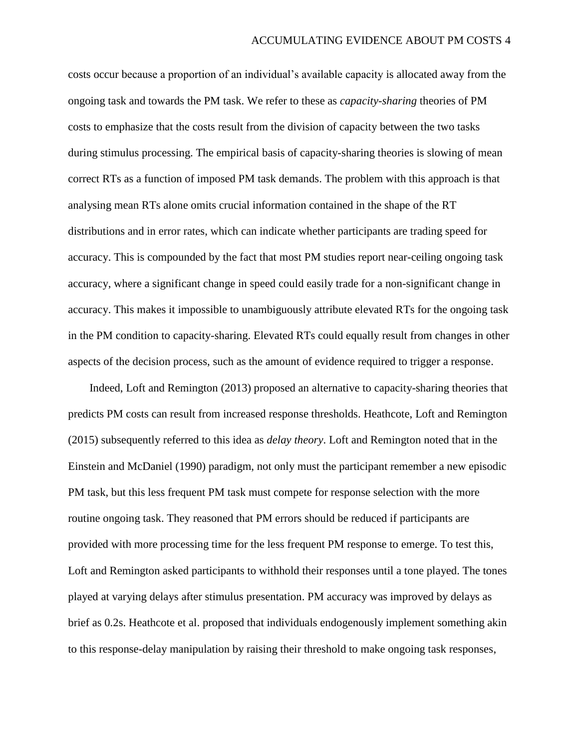costs occur because a proportion of an individual's available capacity is allocated away from the ongoing task and towards the PM task. We refer to these as *capacity-sharing* theories of PM costs to emphasize that the costs result from the division of capacity between the two tasks during stimulus processing. The empirical basis of capacity-sharing theories is slowing of mean correct RTs as a function of imposed PM task demands. The problem with this approach is that analysing mean RTs alone omits crucial information contained in the shape of the RT distributions and in error rates, which can indicate whether participants are trading speed for accuracy. This is compounded by the fact that most PM studies report near-ceiling ongoing task accuracy, where a significant change in speed could easily trade for a non-significant change in accuracy. This makes it impossible to unambiguously attribute elevated RTs for the ongoing task in the PM condition to capacity-sharing. Elevated RTs could equally result from changes in other aspects of the decision process, such as the amount of evidence required to trigger a response.

Indeed, Loft and Remington (2013) proposed an alternative to capacity-sharing theories that predicts PM costs can result from increased response thresholds. Heathcote, Loft and Remington (2015) subsequently referred to this idea as *delay theory*. Loft and Remington noted that in the Einstein and McDaniel (1990) paradigm, not only must the participant remember a new episodic PM task, but this less frequent PM task must compete for response selection with the more routine ongoing task. They reasoned that PM errors should be reduced if participants are provided with more processing time for the less frequent PM response to emerge. To test this, Loft and Remington asked participants to withhold their responses until a tone played. The tones played at varying delays after stimulus presentation. PM accuracy was improved by delays as brief as 0.2s. Heathcote et al. proposed that individuals endogenously implement something akin to this response-delay manipulation by raising their threshold to make ongoing task responses,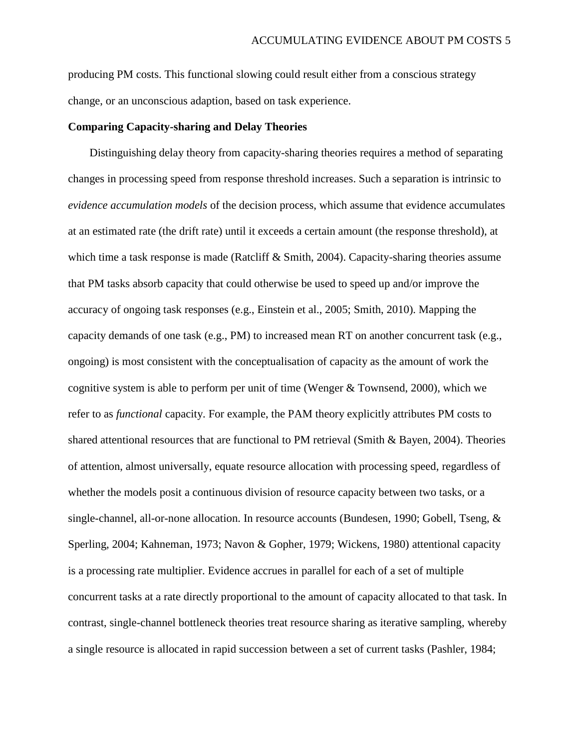producing PM costs. This functional slowing could result either from a conscious strategy change, or an unconscious adaption, based on task experience.

#### **Comparing Capacity-sharing and Delay Theories**

Distinguishing delay theory from capacity-sharing theories requires a method of separating changes in processing speed from response threshold increases. Such a separation is intrinsic to *evidence accumulation models* of the decision process, which assume that evidence accumulates at an estimated rate (the drift rate) until it exceeds a certain amount (the response threshold), at which time a task response is made (Ratcliff & Smith, 2004). Capacity-sharing theories assume that PM tasks absorb capacity that could otherwise be used to speed up and/or improve the accuracy of ongoing task responses (e.g., Einstein et al., 2005; Smith, 2010). Mapping the capacity demands of one task (e.g., PM) to increased mean RT on another concurrent task (e.g., ongoing) is most consistent with the conceptualisation of capacity as the amount of work the cognitive system is able to perform per unit of time (Wenger & Townsend, 2000), which we refer to as *functional* capacity. For example, the PAM theory explicitly attributes PM costs to shared attentional resources that are functional to PM retrieval (Smith & Bayen, 2004). Theories of attention, almost universally, equate resource allocation with processing speed, regardless of whether the models posit a continuous division of resource capacity between two tasks, or a single-channel, all-or-none allocation. In resource accounts (Bundesen, 1990; Gobell, Tseng, & Sperling, 2004; Kahneman, 1973; Navon & Gopher, 1979; Wickens, 1980) attentional capacity is a processing rate multiplier. Evidence accrues in parallel for each of a set of multiple concurrent tasks at a rate directly proportional to the amount of capacity allocated to that task. In contrast, single-channel bottleneck theories treat resource sharing as iterative sampling, whereby a single resource is allocated in rapid succession between a set of current tasks (Pashler, 1984;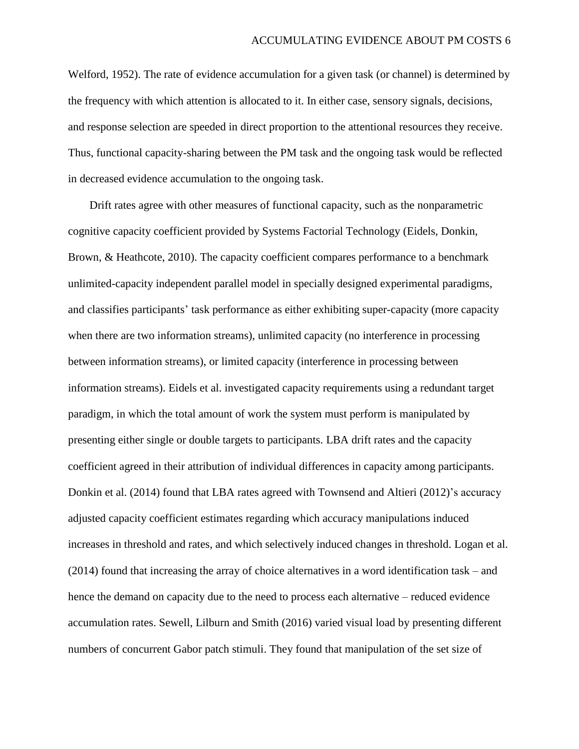Welford, 1952). The rate of evidence accumulation for a given task (or channel) is determined by the frequency with which attention is allocated to it. In either case, sensory signals, decisions, and response selection are speeded in direct proportion to the attentional resources they receive. Thus, functional capacity-sharing between the PM task and the ongoing task would be reflected in decreased evidence accumulation to the ongoing task.

Drift rates agree with other measures of functional capacity, such as the nonparametric cognitive capacity coefficient provided by Systems Factorial Technology (Eidels, Donkin, Brown, & Heathcote, 2010). The capacity coefficient compares performance to a benchmark unlimited-capacity independent parallel model in specially designed experimental paradigms, and classifies participants' task performance as either exhibiting super-capacity (more capacity when there are two information streams), unlimited capacity (no interference in processing between information streams), or limited capacity (interference in processing between information streams). Eidels et al. investigated capacity requirements using a redundant target paradigm, in which the total amount of work the system must perform is manipulated by presenting either single or double targets to participants. LBA drift rates and the capacity coefficient agreed in their attribution of individual differences in capacity among participants. Donkin et al. (2014) found that LBA rates agreed with Townsend and Altieri (2012)'s accuracy adjusted capacity coefficient estimates regarding which accuracy manipulations induced increases in threshold and rates, and which selectively induced changes in threshold. Logan et al. (2014) found that increasing the array of choice alternatives in a word identification task – and hence the demand on capacity due to the need to process each alternative – reduced evidence accumulation rates. Sewell, Lilburn and Smith (2016) varied visual load by presenting different numbers of concurrent Gabor patch stimuli. They found that manipulation of the set size of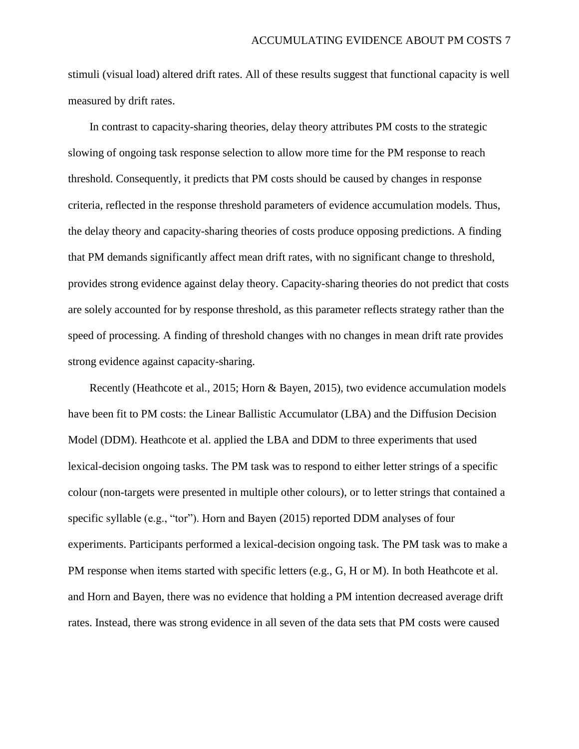stimuli (visual load) altered drift rates. All of these results suggest that functional capacity is well measured by drift rates.

In contrast to capacity-sharing theories, delay theory attributes PM costs to the strategic slowing of ongoing task response selection to allow more time for the PM response to reach threshold. Consequently, it predicts that PM costs should be caused by changes in response criteria, reflected in the response threshold parameters of evidence accumulation models. Thus, the delay theory and capacity-sharing theories of costs produce opposing predictions. A finding that PM demands significantly affect mean drift rates, with no significant change to threshold, provides strong evidence against delay theory. Capacity-sharing theories do not predict that costs are solely accounted for by response threshold, as this parameter reflects strategy rather than the speed of processing. A finding of threshold changes with no changes in mean drift rate provides strong evidence against capacity-sharing.

Recently (Heathcote et al., 2015; Horn & Bayen, 2015), two evidence accumulation models have been fit to PM costs: the Linear Ballistic Accumulator (LBA) and the Diffusion Decision Model (DDM). Heathcote et al. applied the LBA and DDM to three experiments that used lexical-decision ongoing tasks. The PM task was to respond to either letter strings of a specific colour (non-targets were presented in multiple other colours), or to letter strings that contained a specific syllable (e.g., "tor"). Horn and Bayen (2015) reported DDM analyses of four experiments. Participants performed a lexical-decision ongoing task. The PM task was to make a PM response when items started with specific letters (e.g., G, H or M). In both Heathcote et al. and Horn and Bayen, there was no evidence that holding a PM intention decreased average drift rates. Instead, there was strong evidence in all seven of the data sets that PM costs were caused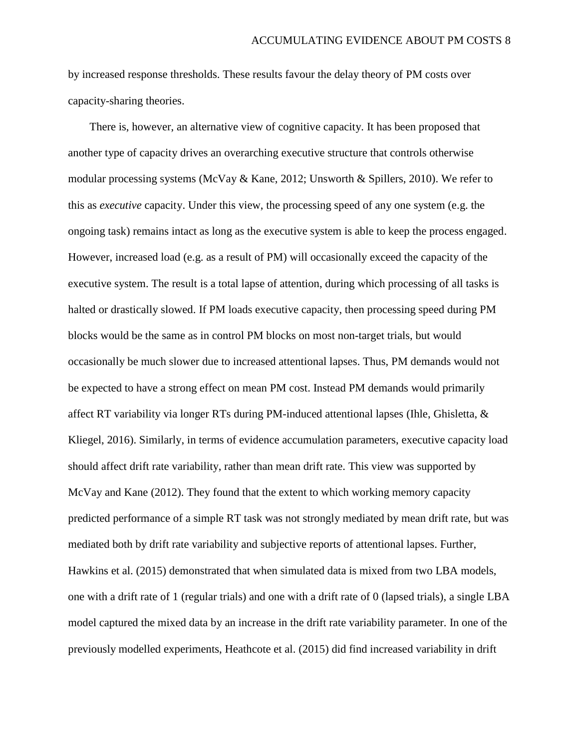by increased response thresholds. These results favour the delay theory of PM costs over capacity-sharing theories.

There is, however, an alternative view of cognitive capacity. It has been proposed that another type of capacity drives an overarching executive structure that controls otherwise modular processing systems (McVay & Kane, 2012; Unsworth & Spillers, 2010). We refer to this as *executive* capacity. Under this view, the processing speed of any one system (e.g. the ongoing task) remains intact as long as the executive system is able to keep the process engaged. However, increased load (e.g. as a result of PM) will occasionally exceed the capacity of the executive system. The result is a total lapse of attention, during which processing of all tasks is halted or drastically slowed. If PM loads executive capacity, then processing speed during PM blocks would be the same as in control PM blocks on most non-target trials, but would occasionally be much slower due to increased attentional lapses. Thus, PM demands would not be expected to have a strong effect on mean PM cost. Instead PM demands would primarily affect RT variability via longer RTs during PM-induced attentional lapses (Ihle, Ghisletta, & Kliegel, 2016). Similarly, in terms of evidence accumulation parameters, executive capacity load should affect drift rate variability, rather than mean drift rate. This view was supported by McVay and Kane (2012). They found that the extent to which working memory capacity predicted performance of a simple RT task was not strongly mediated by mean drift rate, but was mediated both by drift rate variability and subjective reports of attentional lapses. Further, Hawkins et al. (2015) demonstrated that when simulated data is mixed from two LBA models, one with a drift rate of 1 (regular trials) and one with a drift rate of 0 (lapsed trials), a single LBA model captured the mixed data by an increase in the drift rate variability parameter. In one of the previously modelled experiments, Heathcote et al. (2015) did find increased variability in drift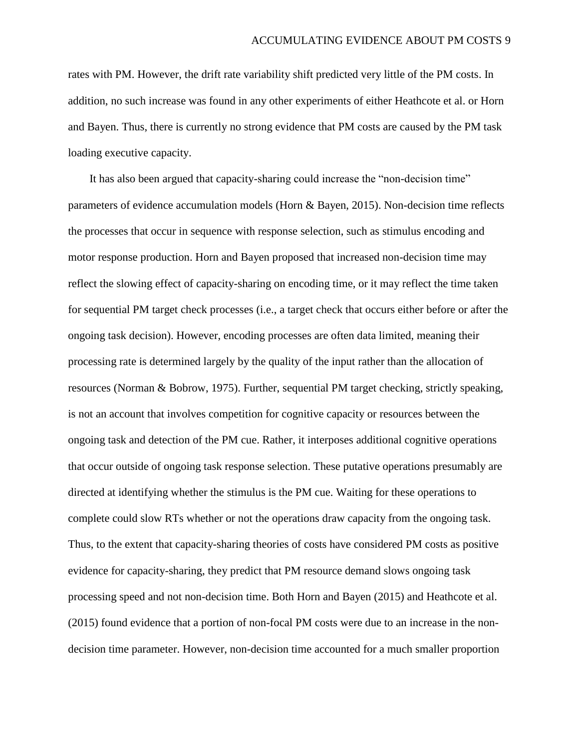rates with PM. However, the drift rate variability shift predicted very little of the PM costs. In addition, no such increase was found in any other experiments of either Heathcote et al. or Horn and Bayen. Thus, there is currently no strong evidence that PM costs are caused by the PM task loading executive capacity.

It has also been argued that capacity-sharing could increase the "non-decision time" parameters of evidence accumulation models (Horn & Bayen, 2015). Non-decision time reflects the processes that occur in sequence with response selection, such as stimulus encoding and motor response production. Horn and Bayen proposed that increased non-decision time may reflect the slowing effect of capacity-sharing on encoding time, or it may reflect the time taken for sequential PM target check processes (i.e., a target check that occurs either before or after the ongoing task decision). However, encoding processes are often data limited, meaning their processing rate is determined largely by the quality of the input rather than the allocation of resources (Norman & Bobrow, 1975). Further, sequential PM target checking, strictly speaking, is not an account that involves competition for cognitive capacity or resources between the ongoing task and detection of the PM cue. Rather, it interposes additional cognitive operations that occur outside of ongoing task response selection. These putative operations presumably are directed at identifying whether the stimulus is the PM cue. Waiting for these operations to complete could slow RTs whether or not the operations draw capacity from the ongoing task. Thus, to the extent that capacity-sharing theories of costs have considered PM costs as positive evidence for capacity-sharing, they predict that PM resource demand slows ongoing task processing speed and not non-decision time. Both Horn and Bayen (2015) and Heathcote et al. (2015) found evidence that a portion of non-focal PM costs were due to an increase in the nondecision time parameter. However, non-decision time accounted for a much smaller proportion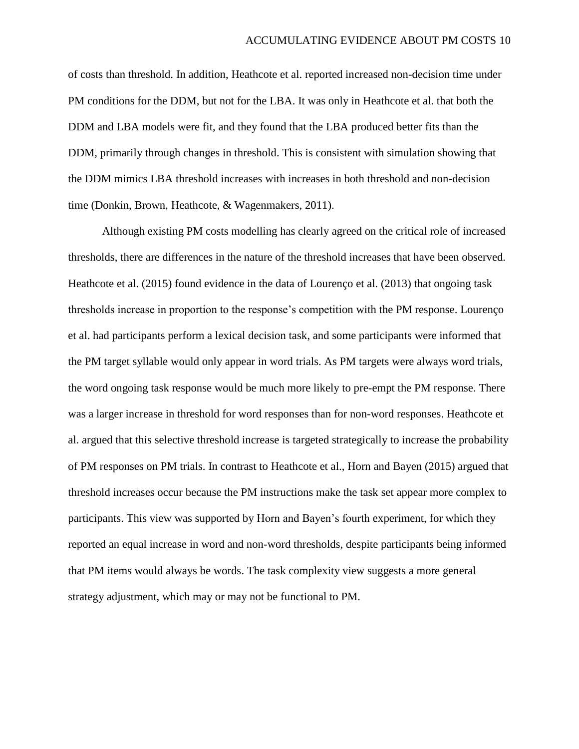of costs than threshold. In addition, Heathcote et al. reported increased non-decision time under PM conditions for the DDM, but not for the LBA. It was only in Heathcote et al. that both the DDM and LBA models were fit, and they found that the LBA produced better fits than the DDM, primarily through changes in threshold. This is consistent with simulation showing that the DDM mimics LBA threshold increases with increases in both threshold and non-decision time (Donkin, Brown, Heathcote, & Wagenmakers, 2011).

Although existing PM costs modelling has clearly agreed on the critical role of increased thresholds, there are differences in the nature of the threshold increases that have been observed. Heathcote et al. (2015) found evidence in the data of Lourenço et al. (2013) that ongoing task thresholds increase in proportion to the response's competition with the PM response. Lourenço et al. had participants perform a lexical decision task, and some participants were informed that the PM target syllable would only appear in word trials. As PM targets were always word trials, the word ongoing task response would be much more likely to pre-empt the PM response. There was a larger increase in threshold for word responses than for non-word responses. Heathcote et al. argued that this selective threshold increase is targeted strategically to increase the probability of PM responses on PM trials. In contrast to Heathcote et al., Horn and Bayen (2015) argued that threshold increases occur because the PM instructions make the task set appear more complex to participants. This view was supported by Horn and Bayen's fourth experiment, for which they reported an equal increase in word and non-word thresholds, despite participants being informed that PM items would always be words. The task complexity view suggests a more general strategy adjustment, which may or may not be functional to PM.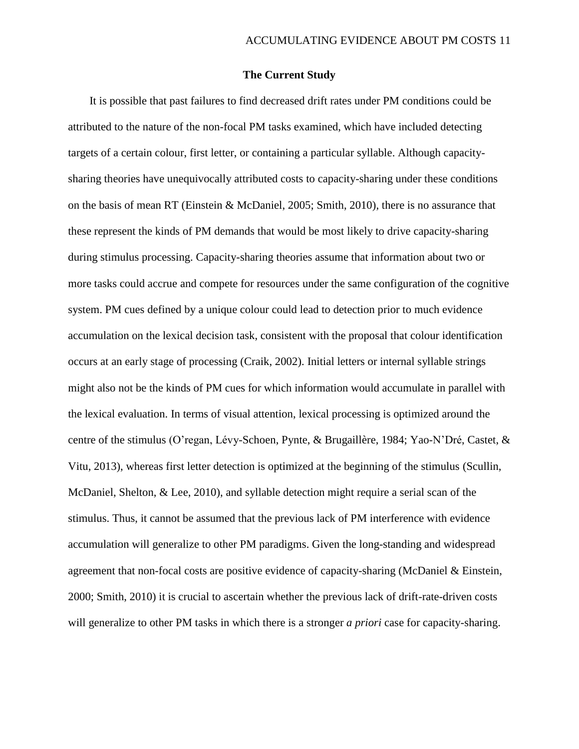# **The Current Study**

It is possible that past failures to find decreased drift rates under PM conditions could be attributed to the nature of the non-focal PM tasks examined, which have included detecting targets of a certain colour, first letter, or containing a particular syllable. Although capacitysharing theories have unequivocally attributed costs to capacity-sharing under these conditions on the basis of mean RT (Einstein & McDaniel, 2005; Smith, 2010), there is no assurance that these represent the kinds of PM demands that would be most likely to drive capacity-sharing during stimulus processing. Capacity-sharing theories assume that information about two or more tasks could accrue and compete for resources under the same configuration of the cognitive system. PM cues defined by a unique colour could lead to detection prior to much evidence accumulation on the lexical decision task, consistent with the proposal that colour identification occurs at an early stage of processing (Craik, 2002). Initial letters or internal syllable strings might also not be the kinds of PM cues for which information would accumulate in parallel with the lexical evaluation. In terms of visual attention, lexical processing is optimized around the centre of the stimulus (O'regan, Lévy-Schoen, Pynte, & Brugaillère, 1984; Yao-N'Dré, Castet, & Vitu, 2013), whereas first letter detection is optimized at the beginning of the stimulus (Scullin, McDaniel, Shelton, & Lee, 2010), and syllable detection might require a serial scan of the stimulus. Thus, it cannot be assumed that the previous lack of PM interference with evidence accumulation will generalize to other PM paradigms. Given the long-standing and widespread agreement that non-focal costs are positive evidence of capacity-sharing (McDaniel & Einstein, 2000; Smith, 2010) it is crucial to ascertain whether the previous lack of drift-rate-driven costs will generalize to other PM tasks in which there is a stronger *a priori* case for capacity-sharing.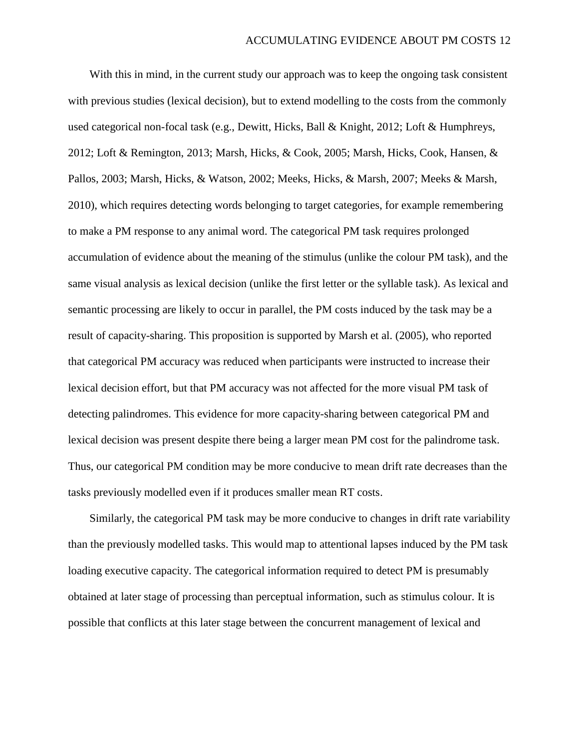With this in mind, in the current study our approach was to keep the ongoing task consistent with previous studies (lexical decision), but to extend modelling to the costs from the commonly used categorical non-focal task (e.g., Dewitt, Hicks, Ball & Knight, 2012; Loft & Humphreys, 2012; Loft & Remington, 2013; Marsh, Hicks, & Cook, 2005; Marsh, Hicks, Cook, Hansen, & Pallos, 2003; Marsh, Hicks, & Watson, 2002; Meeks, Hicks, & Marsh, 2007; Meeks & Marsh, 2010), which requires detecting words belonging to target categories, for example remembering to make a PM response to any animal word. The categorical PM task requires prolonged accumulation of evidence about the meaning of the stimulus (unlike the colour PM task), and the same visual analysis as lexical decision (unlike the first letter or the syllable task). As lexical and semantic processing are likely to occur in parallel, the PM costs induced by the task may be a result of capacity-sharing. This proposition is supported by Marsh et al. (2005), who reported that categorical PM accuracy was reduced when participants were instructed to increase their lexical decision effort, but that PM accuracy was not affected for the more visual PM task of detecting palindromes. This evidence for more capacity-sharing between categorical PM and lexical decision was present despite there being a larger mean PM cost for the palindrome task. Thus, our categorical PM condition may be more conducive to mean drift rate decreases than the tasks previously modelled even if it produces smaller mean RT costs.

Similarly, the categorical PM task may be more conducive to changes in drift rate variability than the previously modelled tasks. This would map to attentional lapses induced by the PM task loading executive capacity. The categorical information required to detect PM is presumably obtained at later stage of processing than perceptual information, such as stimulus colour. It is possible that conflicts at this later stage between the concurrent management of lexical and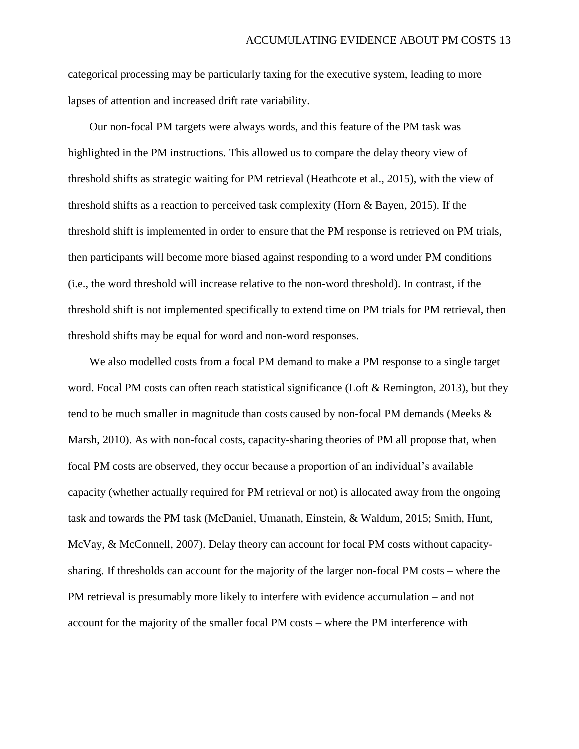categorical processing may be particularly taxing for the executive system, leading to more lapses of attention and increased drift rate variability.

Our non-focal PM targets were always words, and this feature of the PM task was highlighted in the PM instructions. This allowed us to compare the delay theory view of threshold shifts as strategic waiting for PM retrieval (Heathcote et al., 2015), with the view of threshold shifts as a reaction to perceived task complexity (Horn & Bayen, 2015). If the threshold shift is implemented in order to ensure that the PM response is retrieved on PM trials, then participants will become more biased against responding to a word under PM conditions (i.e., the word threshold will increase relative to the non-word threshold). In contrast, if the threshold shift is not implemented specifically to extend time on PM trials for PM retrieval, then threshold shifts may be equal for word and non-word responses.

We also modelled costs from a focal PM demand to make a PM response to a single target word. Focal PM costs can often reach statistical significance (Loft & Remington, 2013), but they tend to be much smaller in magnitude than costs caused by non-focal PM demands (Meeks & Marsh, 2010). As with non-focal costs, capacity-sharing theories of PM all propose that, when focal PM costs are observed, they occur because a proportion of an individual's available capacity (whether actually required for PM retrieval or not) is allocated away from the ongoing task and towards the PM task (McDaniel, Umanath, Einstein, & Waldum, 2015; Smith, Hunt, McVay, & McConnell, 2007). Delay theory can account for focal PM costs without capacitysharing. If thresholds can account for the majority of the larger non-focal PM costs – where the PM retrieval is presumably more likely to interfere with evidence accumulation – and not account for the majority of the smaller focal PM costs – where the PM interference with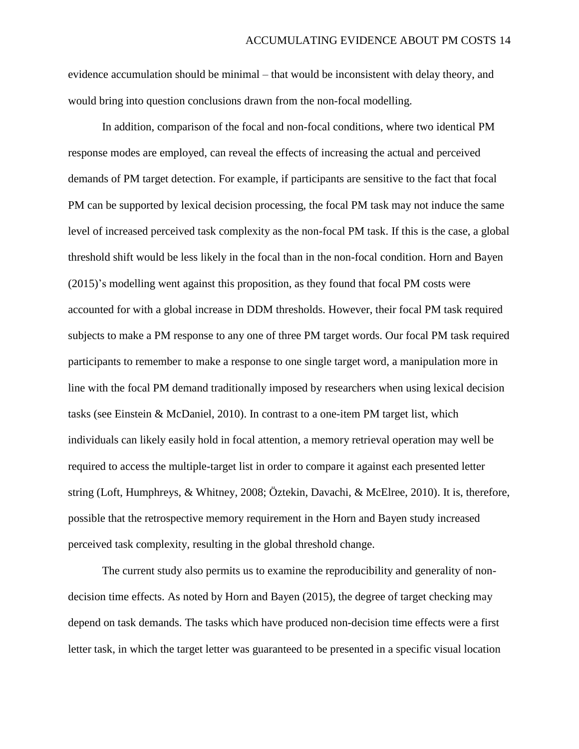evidence accumulation should be minimal – that would be inconsistent with delay theory, and would bring into question conclusions drawn from the non-focal modelling.

In addition, comparison of the focal and non-focal conditions, where two identical PM response modes are employed, can reveal the effects of increasing the actual and perceived demands of PM target detection. For example, if participants are sensitive to the fact that focal PM can be supported by lexical decision processing, the focal PM task may not induce the same level of increased perceived task complexity as the non-focal PM task. If this is the case, a global threshold shift would be less likely in the focal than in the non-focal condition. Horn and Bayen (2015)'s modelling went against this proposition, as they found that focal PM costs were accounted for with a global increase in DDM thresholds. However, their focal PM task required subjects to make a PM response to any one of three PM target words. Our focal PM task required participants to remember to make a response to one single target word, a manipulation more in line with the focal PM demand traditionally imposed by researchers when using lexical decision tasks (see Einstein & McDaniel, 2010). In contrast to a one-item PM target list, which individuals can likely easily hold in focal attention, a memory retrieval operation may well be required to access the multiple-target list in order to compare it against each presented letter string (Loft, Humphreys, & Whitney, 2008; Öztekin, Davachi, & McElree, 2010). It is, therefore, possible that the retrospective memory requirement in the Horn and Bayen study increased perceived task complexity, resulting in the global threshold change.

The current study also permits us to examine the reproducibility and generality of nondecision time effects. As noted by Horn and Bayen (2015), the degree of target checking may depend on task demands. The tasks which have produced non-decision time effects were a first letter task, in which the target letter was guaranteed to be presented in a specific visual location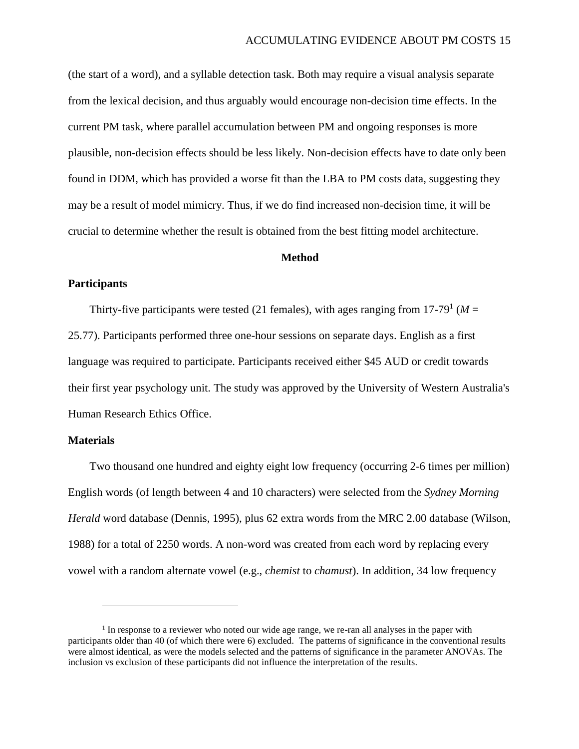(the start of a word), and a syllable detection task. Both may require a visual analysis separate from the lexical decision, and thus arguably would encourage non-decision time effects. In the current PM task, where parallel accumulation between PM and ongoing responses is more plausible, non-decision effects should be less likely. Non-decision effects have to date only been found in DDM, which has provided a worse fit than the LBA to PM costs data, suggesting they may be a result of model mimicry. Thus, if we do find increased non-decision time, it will be crucial to determine whether the result is obtained from the best fitting model architecture.

#### **Method**

# **Participants**

Thirty-five participants were tested (21 females), with ages ranging from  $17-79<sup>1</sup>$  ( $M =$ 25.77). Participants performed three one-hour sessions on separate days. English as a first language was required to participate. Participants received either \$45 AUD or credit towards their first year psychology unit. The study was approved by the University of Western Australia's Human Research Ethics Office.

#### **Materials**

 $\overline{a}$ 

Two thousand one hundred and eighty eight low frequency (occurring 2-6 times per million) English words (of length between 4 and 10 characters) were selected from the *Sydney Morning Herald* word database (Dennis, 1995), plus 62 extra words from the MRC 2.00 database (Wilson, 1988) for a total of 2250 words. A non-word was created from each word by replacing every vowel with a random alternate vowel (e.g., *chemist* to *chamust*). In addition, 34 low frequency

<sup>&</sup>lt;sup>1</sup> In response to a reviewer who noted our wide age range, we re-ran all analyses in the paper with participants older than 40 (of which there were 6) excluded. The patterns of significance in the conventional results were almost identical, as were the models selected and the patterns of significance in the parameter ANOVAs. The inclusion vs exclusion of these participants did not influence the interpretation of the results.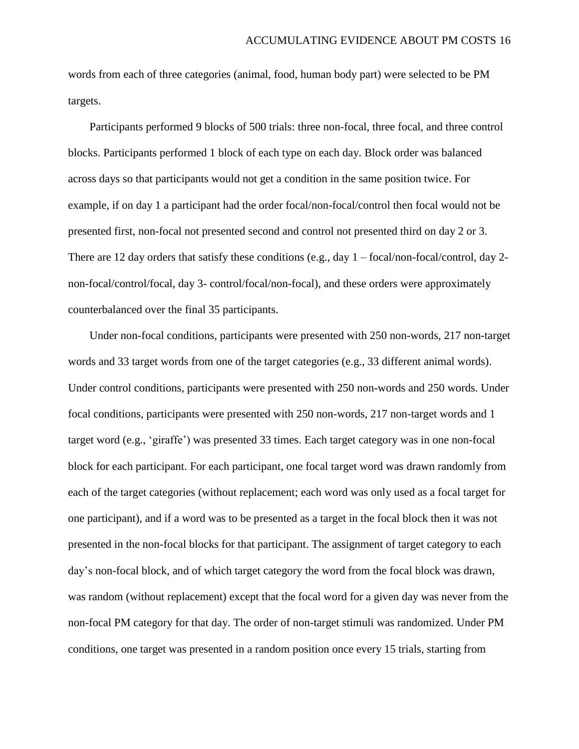words from each of three categories (animal, food, human body part) were selected to be PM targets.

Participants performed 9 blocks of 500 trials: three non-focal, three focal, and three control blocks. Participants performed 1 block of each type on each day. Block order was balanced across days so that participants would not get a condition in the same position twice. For example, if on day 1 a participant had the order focal/non-focal/control then focal would not be presented first, non-focal not presented second and control not presented third on day 2 or 3. There are 12 day orders that satisfy these conditions (e.g., day  $1 -$  focal/non-focal/control, day 2non-focal/control/focal, day 3- control/focal/non-focal), and these orders were approximately counterbalanced over the final 35 participants.

Under non-focal conditions, participants were presented with 250 non-words, 217 non-target words and 33 target words from one of the target categories (e.g., 33 different animal words). Under control conditions, participants were presented with 250 non-words and 250 words. Under focal conditions, participants were presented with 250 non-words, 217 non-target words and 1 target word (e.g., 'giraffe') was presented 33 times. Each target category was in one non-focal block for each participant. For each participant, one focal target word was drawn randomly from each of the target categories (without replacement; each word was only used as a focal target for one participant), and if a word was to be presented as a target in the focal block then it was not presented in the non-focal blocks for that participant. The assignment of target category to each day's non-focal block, and of which target category the word from the focal block was drawn, was random (without replacement) except that the focal word for a given day was never from the non-focal PM category for that day. The order of non-target stimuli was randomized. Under PM conditions, one target was presented in a random position once every 15 trials, starting from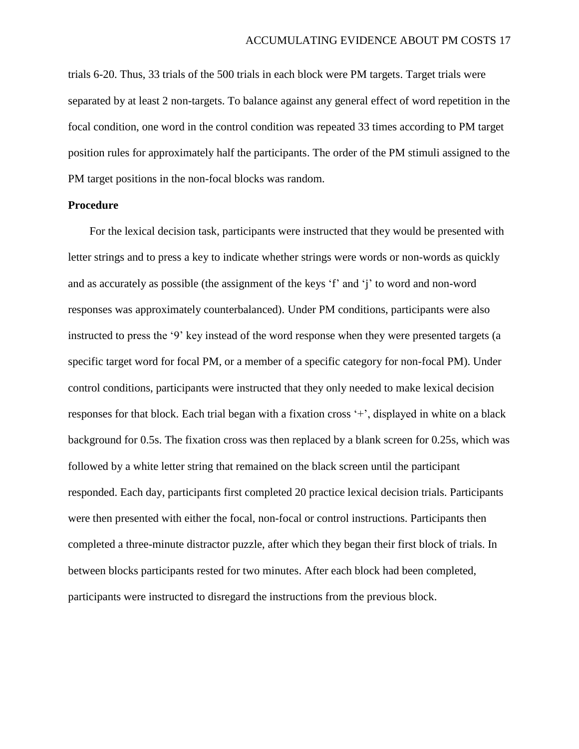trials 6-20. Thus, 33 trials of the 500 trials in each block were PM targets. Target trials were separated by at least 2 non-targets. To balance against any general effect of word repetition in the focal condition, one word in the control condition was repeated 33 times according to PM target position rules for approximately half the participants. The order of the PM stimuli assigned to the PM target positions in the non-focal blocks was random.

#### **Procedure**

For the lexical decision task, participants were instructed that they would be presented with letter strings and to press a key to indicate whether strings were words or non-words as quickly and as accurately as possible (the assignment of the keys 'f' and 'j' to word and non-word responses was approximately counterbalanced). Under PM conditions, participants were also instructed to press the '9' key instead of the word response when they were presented targets (a specific target word for focal PM, or a member of a specific category for non-focal PM). Under control conditions, participants were instructed that they only needed to make lexical decision responses for that block. Each trial began with a fixation cross '+', displayed in white on a black background for 0.5s. The fixation cross was then replaced by a blank screen for 0.25s, which was followed by a white letter string that remained on the black screen until the participant responded. Each day, participants first completed 20 practice lexical decision trials. Participants were then presented with either the focal, non-focal or control instructions. Participants then completed a three-minute distractor puzzle, after which they began their first block of trials. In between blocks participants rested for two minutes. After each block had been completed, participants were instructed to disregard the instructions from the previous block.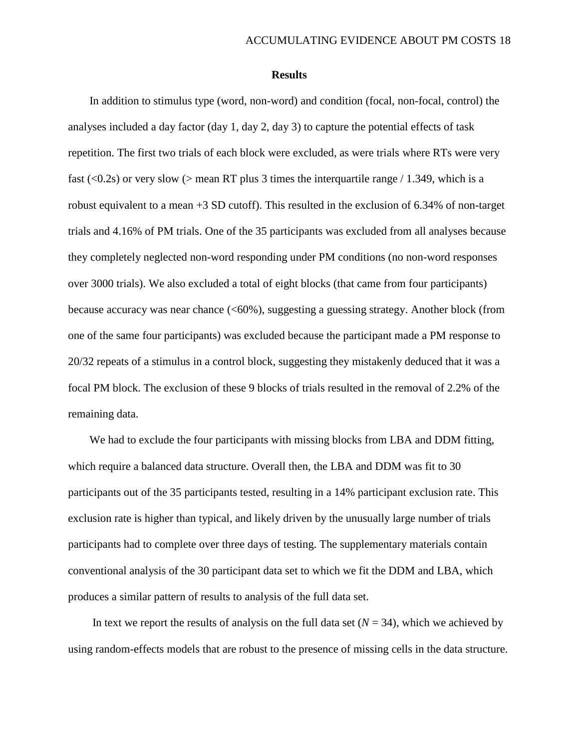#### **Results**

In addition to stimulus type (word, non-word) and condition (focal, non-focal, control) the analyses included a day factor (day 1, day 2, day 3) to capture the potential effects of task repetition. The first two trials of each block were excluded, as were trials where RTs were very fast  $( $0.2$ s)$  or very slow ( $>$  mean RT plus 3 times the interquartile range / 1.349, which is a robust equivalent to a mean +3 SD cutoff). This resulted in the exclusion of 6.34% of non-target trials and 4.16% of PM trials. One of the 35 participants was excluded from all analyses because they completely neglected non-word responding under PM conditions (no non-word responses over 3000 trials). We also excluded a total of eight blocks (that came from four participants) because accuracy was near chance (<60%), suggesting a guessing strategy. Another block (from one of the same four participants) was excluded because the participant made a PM response to 20/32 repeats of a stimulus in a control block, suggesting they mistakenly deduced that it was a focal PM block. The exclusion of these 9 blocks of trials resulted in the removal of 2.2% of the remaining data.

We had to exclude the four participants with missing blocks from LBA and DDM fitting, which require a balanced data structure. Overall then, the LBA and DDM was fit to 30 participants out of the 35 participants tested, resulting in a 14% participant exclusion rate. This exclusion rate is higher than typical, and likely driven by the unusually large number of trials participants had to complete over three days of testing. The supplementary materials contain conventional analysis of the 30 participant data set to which we fit the DDM and LBA, which produces a similar pattern of results to analysis of the full data set.

In text we report the results of analysis on the full data set  $(N = 34)$ , which we achieved by using random-effects models that are robust to the presence of missing cells in the data structure.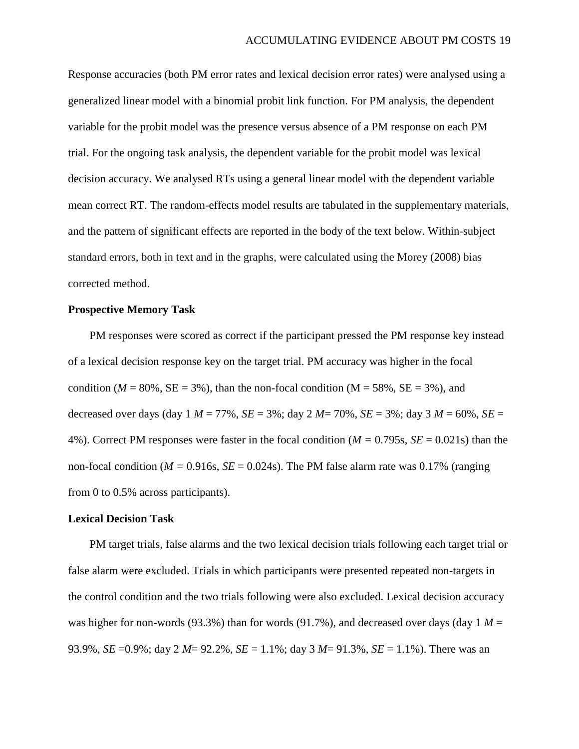Response accuracies (both PM error rates and lexical decision error rates) were analysed using a generalized linear model with a binomial probit link function. For PM analysis, the dependent variable for the probit model was the presence versus absence of a PM response on each PM trial. For the ongoing task analysis, the dependent variable for the probit model was lexical decision accuracy. We analysed RTs using a general linear model with the dependent variable mean correct RT. The random-effects model results are tabulated in the supplementary materials, and the pattern of significant effects are reported in the body of the text below. Within-subject standard errors, both in text and in the graphs, were calculated using the Morey (2008) bias corrected method.

# **Prospective Memory Task**

PM responses were scored as correct if the participant pressed the PM response key instead of a lexical decision response key on the target trial. PM accuracy was higher in the focal condition ( $M = 80\%$ ,  $SE = 3\%$ ), than the non-focal condition ( $M = 58\%$ ,  $SE = 3\%$ ), and decreased over days (day  $1 M = 77\%$ , *SE* = 3%; day  $2 M = 70\%$ , *SE* = 3%; day  $3 M = 60\%$ , *SE* = 4%). Correct PM responses were faster in the focal condition (*M =* 0.795s, *SE* = 0.021s) than the non-focal condition ( $M = 0.916$ s,  $SE = 0.024$ s). The PM false alarm rate was 0.17% (ranging from 0 to 0.5% across participants).

#### **Lexical Decision Task**

PM target trials, false alarms and the two lexical decision trials following each target trial or false alarm were excluded. Trials in which participants were presented repeated non-targets in the control condition and the two trials following were also excluded. Lexical decision accuracy was higher for non-words (93.3%) than for words (91.7%), and decreased over days (day  $1 M =$ 93.9%, *SE* =0.9%; day 2 *M*= 92.2%, *SE* = 1.1%; day 3 *M*= 91.3%, *SE* = 1.1%). There was an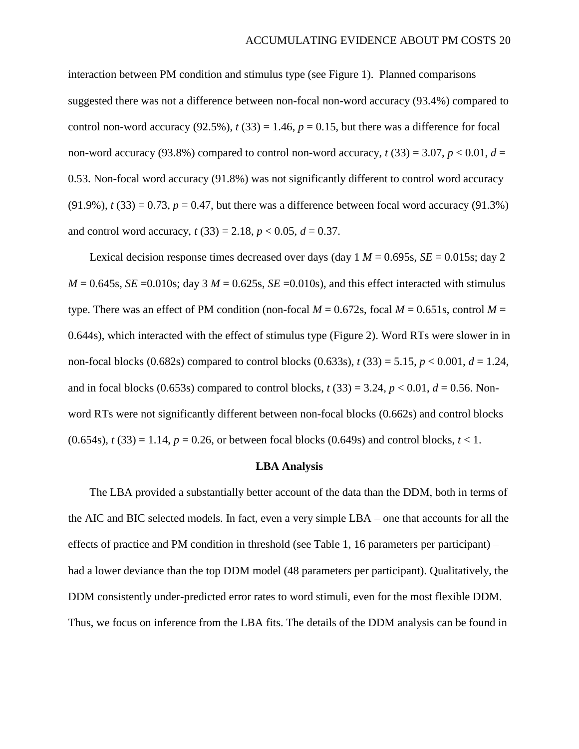interaction between PM condition and stimulus type (see Figure 1). Planned comparisons suggested there was not a difference between non-focal non-word accuracy (93.4%) compared to control non-word accuracy (92.5%),  $t$  (33) = 1.46,  $p = 0.15$ , but there was a difference for focal non-word accuracy (93.8%) compared to control non-word accuracy,  $t(33) = 3.07$ ,  $p < 0.01$ ,  $d =$ 0.53. Non-focal word accuracy (91.8%) was not significantly different to control word accuracy  $(91.9\%)$ ,  $t(33) = 0.73$ ,  $p = 0.47$ , but there was a difference between focal word accuracy (91.3%) and control word accuracy,  $t(33) = 2.18$ ,  $p < 0.05$ ,  $d = 0.37$ .

Lexical decision response times decreased over days (day  $1 M = 0.695s$ ,  $SE = 0.015s$ ; day 2  $M = 0.645$ s, *SE* = 0.010s; day 3  $M = 0.625$ s, *SE* = 0.010s), and this effect interacted with stimulus type. There was an effect of PM condition (non-focal  $M = 0.672$ s, focal  $M = 0.651$ s, control  $M =$ 0.644s), which interacted with the effect of stimulus type (Figure 2). Word RTs were slower in in non-focal blocks (0.682s) compared to control blocks (0.633s),  $t$  (33) = 5.15,  $p$  < 0.001,  $d$  = 1.24, and in focal blocks (0.653s) compared to control blocks,  $t(33) = 3.24$ ,  $p < 0.01$ ,  $d = 0.56$ . Nonword RTs were not significantly different between non-focal blocks (0.662s) and control blocks  $(0.654s)$ ,  $t(33) = 1.14$ ,  $p = 0.26$ , or between focal blocks  $(0.649s)$  and control blocks,  $t < 1$ .

#### **LBA Analysis**

The LBA provided a substantially better account of the data than the DDM, both in terms of the AIC and BIC selected models. In fact, even a very simple LBA – one that accounts for all the effects of practice and PM condition in threshold (see Table 1, 16 parameters per participant) – had a lower deviance than the top DDM model (48 parameters per participant). Qualitatively, the DDM consistently under-predicted error rates to word stimuli, even for the most flexible DDM. Thus, we focus on inference from the LBA fits. The details of the DDM analysis can be found in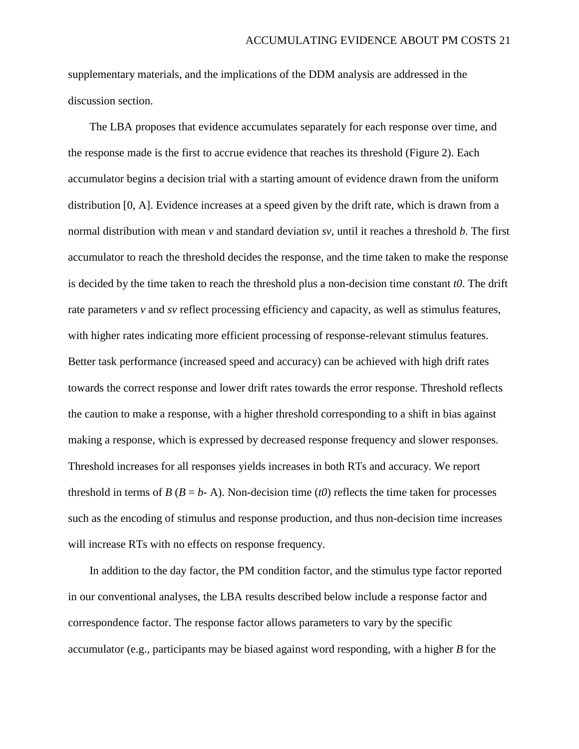supplementary materials, and the implications of the DDM analysis are addressed in the discussion section.

The LBA proposes that evidence accumulates separately for each response over time, and the response made is the first to accrue evidence that reaches its threshold (Figure 2). Each accumulator begins a decision trial with a starting amount of evidence drawn from the uniform distribution [0, A]. Evidence increases at a speed given by the drift rate, which is drawn from a normal distribution with mean *v* and standard deviation *sv,* until it reaches a threshold *b*. The first accumulator to reach the threshold decides the response, and the time taken to make the response is decided by the time taken to reach the threshold plus a non-decision time constant  $t\theta$ . The drift rate parameters *v* and *sv* reflect processing efficiency and capacity, as well as stimulus features, with higher rates indicating more efficient processing of response-relevant stimulus features. Better task performance (increased speed and accuracy) can be achieved with high drift rates towards the correct response and lower drift rates towards the error response. Threshold reflects the caution to make a response, with a higher threshold corresponding to a shift in bias against making a response, which is expressed by decreased response frequency and slower responses. Threshold increases for all responses yields increases in both RTs and accuracy. We report threshold in terms of  $B (B = b - A)$ . Non-decision time (*t0*) reflects the time taken for processes such as the encoding of stimulus and response production, and thus non-decision time increases will increase RTs with no effects on response frequency.

In addition to the day factor, the PM condition factor, and the stimulus type factor reported in our conventional analyses, the LBA results described below include a response factor and correspondence factor. The response factor allows parameters to vary by the specific accumulator (e.g., participants may be biased against word responding, with a higher *B* for the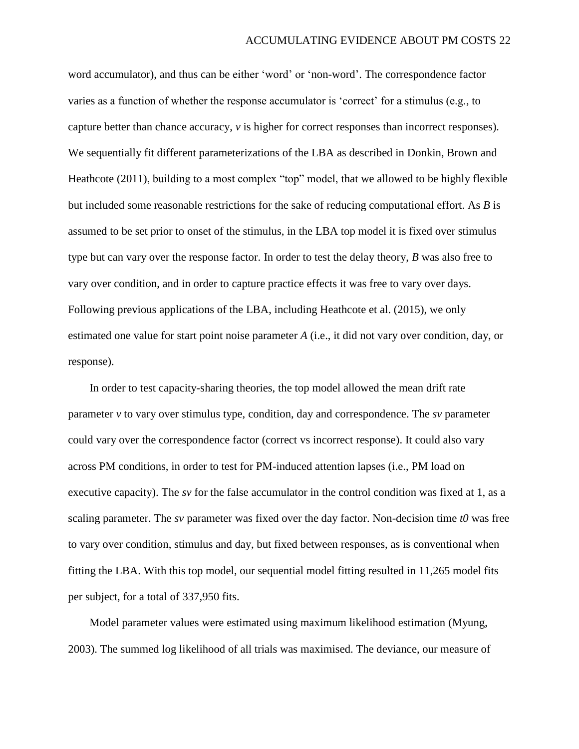word accumulator), and thus can be either 'word' or 'non-word'. The correspondence factor varies as a function of whether the response accumulator is 'correct' for a stimulus (e.g., to capture better than chance accuracy, *v* is higher for correct responses than incorrect responses)*.* We sequentially fit different parameterizations of the LBA as described in Donkin, Brown and Heathcote (2011), building to a most complex "top" model, that we allowed to be highly flexible but included some reasonable restrictions for the sake of reducing computational effort. As *B* is assumed to be set prior to onset of the stimulus, in the LBA top model it is fixed over stimulus type but can vary over the response factor. In order to test the delay theory, *B* was also free to vary over condition, and in order to capture practice effects it was free to vary over days. Following previous applications of the LBA, including Heathcote et al. (2015), we only estimated one value for start point noise parameter *A* (i.e., it did not vary over condition, day, or response).

In order to test capacity-sharing theories, the top model allowed the mean drift rate parameter *v* to vary over stimulus type, condition, day and correspondence. The *sv* parameter could vary over the correspondence factor (correct vs incorrect response). It could also vary across PM conditions, in order to test for PM-induced attention lapses (i.e., PM load on executive capacity). The *sv* for the false accumulator in the control condition was fixed at 1, as a scaling parameter. The *sv* parameter was fixed over the day factor. Non-decision time *t0* was free to vary over condition, stimulus and day, but fixed between responses, as is conventional when fitting the LBA. With this top model, our sequential model fitting resulted in 11,265 model fits per subject, for a total of 337,950 fits.

Model parameter values were estimated using maximum likelihood estimation (Myung, 2003). The summed log likelihood of all trials was maximised. The deviance, our measure of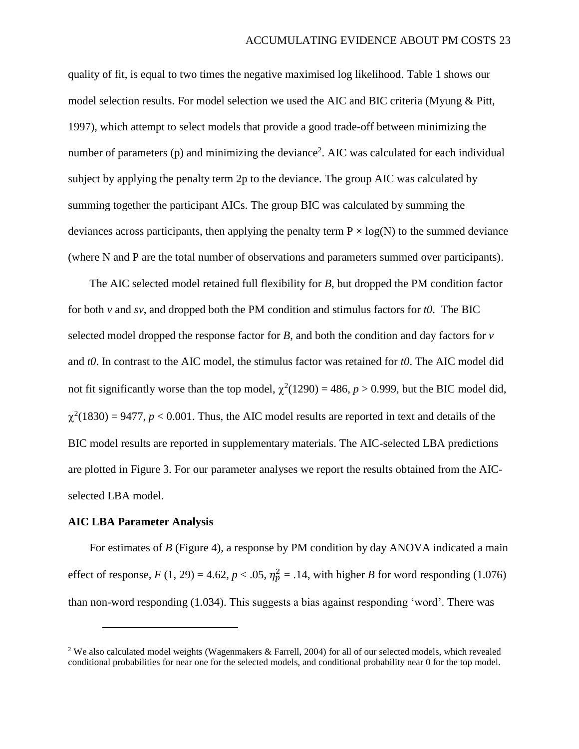quality of fit, is equal to two times the negative maximised log likelihood. Table 1 shows our model selection results. For model selection we used the AIC and BIC criteria (Myung & Pitt, 1997), which attempt to select models that provide a good trade-off between minimizing the number of parameters (p) and minimizing the deviance<sup>2</sup>. AIC was calculated for each individual subject by applying the penalty term 2p to the deviance. The group AIC was calculated by summing together the participant AICs. The group BIC was calculated by summing the deviances across participants, then applying the penalty term  $P \times log(N)$  to the summed deviance (where N and P are the total number of observations and parameters summed over participants).

The AIC selected model retained full flexibility for *B*, but dropped the PM condition factor for both *v* and *sv*, and dropped both the PM condition and stimulus factors for *t0*. The BIC selected model dropped the response factor for *B*, and both the condition and day factors for *v* and *t0*. In contrast to the AIC model, the stimulus factor was retained for *t0*. The AIC model did not fit significantly worse than the top model,  $\chi^2(1290) = 486$ ,  $p > 0.999$ , but the BIC model did,  $\chi^2(1830) = 9477$ ,  $p < 0.001$ . Thus, the AIC model results are reported in text and details of the BIC model results are reported in supplementary materials. The AIC-selected LBA predictions are plotted in Figure 3. For our parameter analyses we report the results obtained from the AICselected LBA model.

#### **AIC LBA Parameter Analysis**

 $\overline{a}$ 

For estimates of *B* (Figure 4), a response by PM condition by day ANOVA indicated a main effect of response,  $F(1, 29) = 4.62$ ,  $p < .05$ ,  $\eta_p^2 = .14$ , with higher *B* for word responding (1.076) than non-word responding (1.034). This suggests a bias against responding 'word'. There was

<sup>&</sup>lt;sup>2</sup> We also calculated model weights (Wagenmakers & Farrell, 2004) for all of our selected models, which revealed conditional probabilities for near one for the selected models, and conditional probability near 0 for the top model.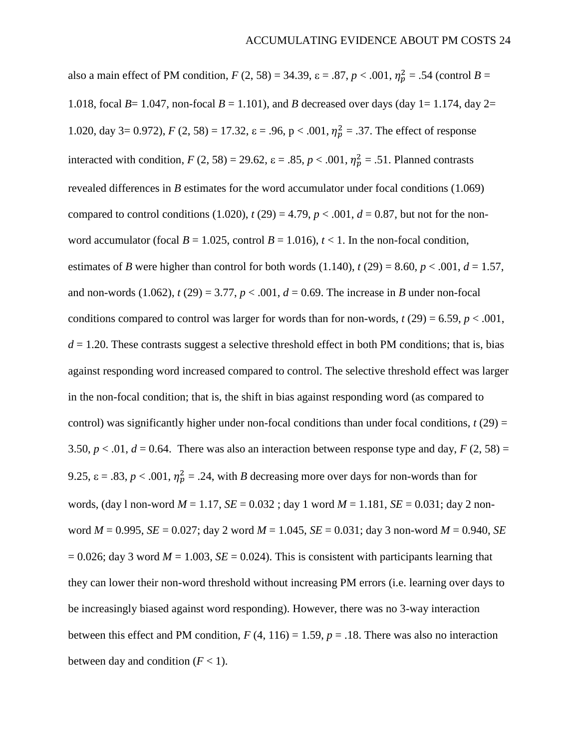also a main effect of PM condition,  $F(2, 58) = 34.39$ ,  $\varepsilon = .87$ ,  $p < .001$ ,  $\eta_p^2 = .54$  (control  $B =$ 1.018, focal *B*= 1.047, non-focal *B* = 1.101), and *B* decreased over days (day 1= 1.174, day 2= 1.020, day 3= 0.972),  $F(2, 58) = 17.32$ ,  $\varepsilon = .96$ ,  $p < .001$ ,  $\eta_p^2 = .37$ . The effect of response interacted with condition,  $F(2, 58) = 29.62$ ,  $\varepsilon = .85$ ,  $p < .001$ ,  $\eta_p^2 = .51$ . Planned contrasts revealed differences in *B* estimates for the word accumulator under focal conditions (1.069) compared to control conditions (1.020),  $t(29) = 4.79$ ,  $p < .001$ ,  $d = 0.87$ , but not for the nonword accumulator (focal  $B = 1.025$ , control  $B = 1.016$ ),  $t < 1$ . In the non-focal condition, estimates of *B* were higher than control for both words  $(1.140)$ ,  $t(29) = 8.60$ ,  $p < .001$ ,  $d = 1.57$ , and non-words (1.062),  $t(29) = 3.77$ ,  $p < .001$ ,  $d = 0.69$ . The increase in *B* under non-focal conditions compared to control was larger for words than for non-words,  $t(29) = 6.59$ ,  $p < .001$ ,  $d = 1.20$ . These contrasts suggest a selective threshold effect in both PM conditions; that is, bias against responding word increased compared to control. The selective threshold effect was larger in the non-focal condition; that is, the shift in bias against responding word (as compared to control) was significantly higher under non-focal conditions than under focal conditions,  $t(29)$  = 3.50,  $p < 0.01$ ,  $d = 0.64$ . There was also an interaction between response type and day,  $F(2, 58) =$ 9.25,  $\varepsilon = .83$ ,  $p < .001$ ,  $\eta_p^2 = .24$ , with *B* decreasing more over days for non-words than for words, (day 1 non-word  $M = 1.17$ ,  $SE = 0.032$ ; day 1 word  $M = 1.181$ ,  $SE = 0.031$ ; day 2 nonword *M* = 0.995, *SE* = 0.027; day 2 word *M* = 1.045, *SE* = 0.031; day 3 non-word *M* = 0.940, *SE*  $= 0.026$ ; day 3 word  $M = 1.003$ ,  $SE = 0.024$ ). This is consistent with participants learning that they can lower their non-word threshold without increasing PM errors (i.e. learning over days to be increasingly biased against word responding). However, there was no 3-way interaction between this effect and PM condition,  $F(4, 116) = 1.59$ ,  $p = .18$ . There was also no interaction between day and condition  $(F < 1)$ .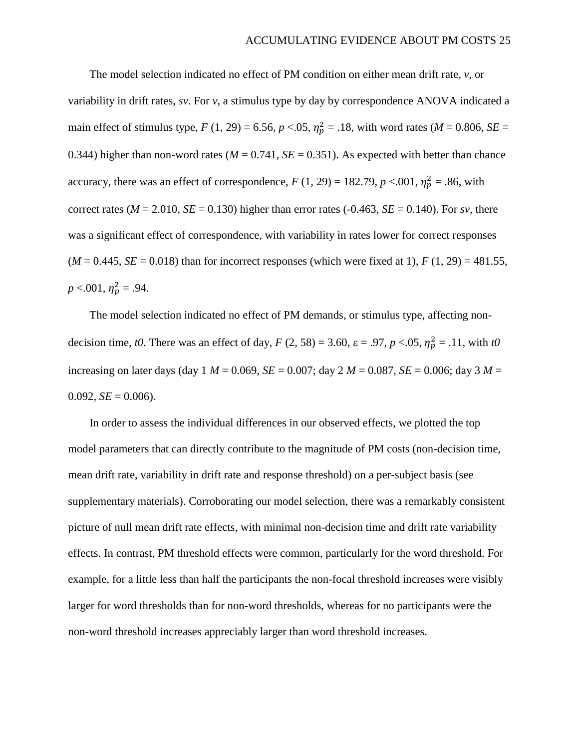The model selection indicated no effect of PM condition on either mean drift rate, *v*, or variability in drift rates, *sv*. For *v*, a stimulus type by day by correspondence ANOVA indicated a main effect of stimulus type,  $F(1, 29) = 6.56$ ,  $p < 0.05$ ,  $\eta_p^2 = 0.18$ , with word rates ( $M = 0.806$ ,  $SE =$ 0.344) higher than non-word rates ( $M = 0.741$ ,  $SE = 0.351$ ). As expected with better than chance accuracy, there was an effect of correspondence,  $F(1, 29) = 182.79$ ,  $p < .001$ ,  $\eta_p^2 = .86$ , with correct rates ( $M = 2.010$ ,  $SE = 0.130$ ) higher than error rates (-0.463,  $SE = 0.140$ ). For *sv*, there was a significant effect of correspondence, with variability in rates lower for correct responses  $(M = 0.445, SE = 0.018)$  than for incorrect responses (which were fixed at 1),  $F(1, 29) = 481.55$ ,  $p < .001, \eta_p^2 = .94.$ 

The model selection indicated no effect of PM demands, or stimulus type, affecting nondecision time, *t0*. There was an effect of day,  $F(2, 58) = 3.60$ ,  $\varepsilon = .97$ ,  $p < .05$ ,  $\eta_p^2 = .11$ , with *t0* increasing on later days (day 1  $M = 0.069$ ,  $SE = 0.007$ ; day 2  $M = 0.087$ ,  $SE = 0.006$ ; day 3  $M =$ 0.092,  $SE = 0.006$ ).

In order to assess the individual differences in our observed effects, we plotted the top model parameters that can directly contribute to the magnitude of PM costs (non-decision time, mean drift rate, variability in drift rate and response threshold) on a per-subject basis (see supplementary materials). Corroborating our model selection, there was a remarkably consistent picture of null mean drift rate effects, with minimal non-decision time and drift rate variability effects. In contrast, PM threshold effects were common, particularly for the word threshold. For example, for a little less than half the participants the non-focal threshold increases were visibly larger for word thresholds than for non-word thresholds, whereas for no participants were the non-word threshold increases appreciably larger than word threshold increases.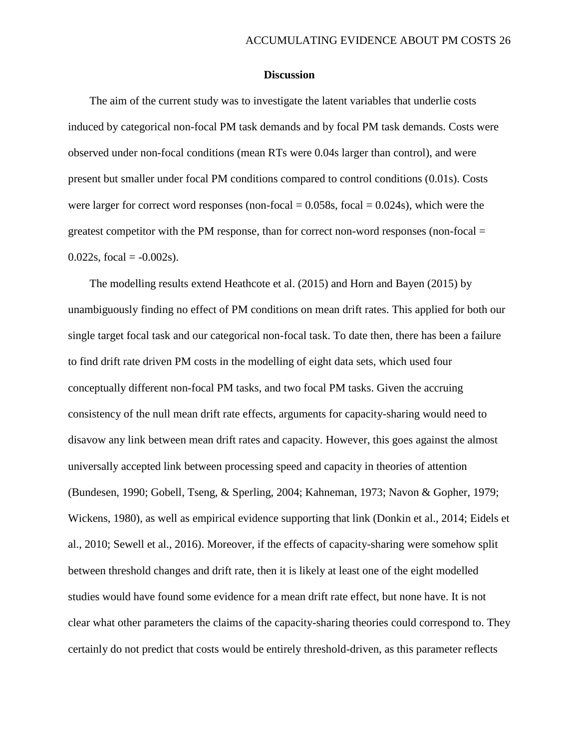# **Discussion**

The aim of the current study was to investigate the latent variables that underlie costs induced by categorical non-focal PM task demands and by focal PM task demands. Costs were observed under non-focal conditions (mean RTs were 0.04s larger than control), and were present but smaller under focal PM conditions compared to control conditions (0.01s). Costs were larger for correct word responses (non-focal  $= 0.058$ s, focal  $= 0.024$ s), which were the greatest competitor with the PM response, than for correct non-word responses (non-focal  $=$ 0.022s, focal =  $-0.002$ s).

The modelling results extend Heathcote et al. (2015) and Horn and Bayen (2015) by unambiguously finding no effect of PM conditions on mean drift rates. This applied for both our single target focal task and our categorical non-focal task. To date then, there has been a failure to find drift rate driven PM costs in the modelling of eight data sets, which used four conceptually different non-focal PM tasks, and two focal PM tasks. Given the accruing consistency of the null mean drift rate effects, arguments for capacity-sharing would need to disavow any link between mean drift rates and capacity. However, this goes against the almost universally accepted link between processing speed and capacity in theories of attention (Bundesen, 1990; Gobell, Tseng, & Sperling, 2004; Kahneman, 1973; Navon & Gopher, 1979; Wickens, 1980), as well as empirical evidence supporting that link (Donkin et al., 2014; Eidels et al., 2010; Sewell et al., 2016). Moreover, if the effects of capacity-sharing were somehow split between threshold changes and drift rate, then it is likely at least one of the eight modelled studies would have found some evidence for a mean drift rate effect, but none have. It is not clear what other parameters the claims of the capacity-sharing theories could correspond to. They certainly do not predict that costs would be entirely threshold-driven, as this parameter reflects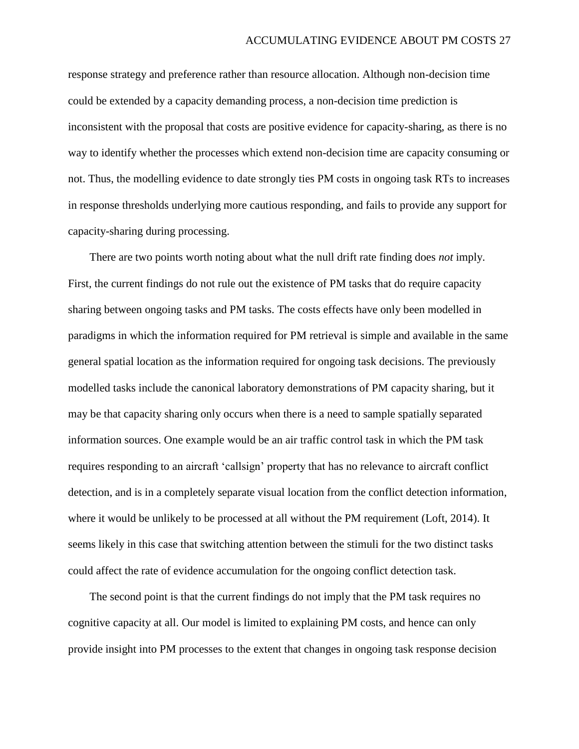response strategy and preference rather than resource allocation. Although non-decision time could be extended by a capacity demanding process, a non-decision time prediction is inconsistent with the proposal that costs are positive evidence for capacity-sharing, as there is no way to identify whether the processes which extend non-decision time are capacity consuming or not. Thus, the modelling evidence to date strongly ties PM costs in ongoing task RTs to increases in response thresholds underlying more cautious responding, and fails to provide any support for capacity-sharing during processing.

There are two points worth noting about what the null drift rate finding does *not* imply. First, the current findings do not rule out the existence of PM tasks that do require capacity sharing between ongoing tasks and PM tasks. The costs effects have only been modelled in paradigms in which the information required for PM retrieval is simple and available in the same general spatial location as the information required for ongoing task decisions. The previously modelled tasks include the canonical laboratory demonstrations of PM capacity sharing, but it may be that capacity sharing only occurs when there is a need to sample spatially separated information sources. One example would be an air traffic control task in which the PM task requires responding to an aircraft 'callsign' property that has no relevance to aircraft conflict detection, and is in a completely separate visual location from the conflict detection information, where it would be unlikely to be processed at all without the PM requirement (Loft, 2014). It seems likely in this case that switching attention between the stimuli for the two distinct tasks could affect the rate of evidence accumulation for the ongoing conflict detection task.

The second point is that the current findings do not imply that the PM task requires no cognitive capacity at all. Our model is limited to explaining PM costs, and hence can only provide insight into PM processes to the extent that changes in ongoing task response decision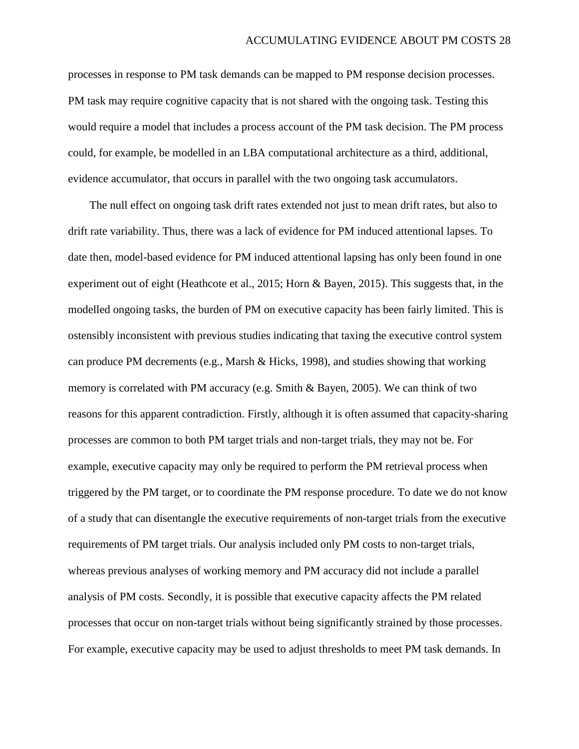processes in response to PM task demands can be mapped to PM response decision processes. PM task may require cognitive capacity that is not shared with the ongoing task. Testing this would require a model that includes a process account of the PM task decision. The PM process could, for example, be modelled in an LBA computational architecture as a third, additional, evidence accumulator, that occurs in parallel with the two ongoing task accumulators.

The null effect on ongoing task drift rates extended not just to mean drift rates, but also to drift rate variability. Thus, there was a lack of evidence for PM induced attentional lapses. To date then, model-based evidence for PM induced attentional lapsing has only been found in one experiment out of eight (Heathcote et al., 2015; Horn & Bayen, 2015). This suggests that, in the modelled ongoing tasks, the burden of PM on executive capacity has been fairly limited. This is ostensibly inconsistent with previous studies indicating that taxing the executive control system can produce PM decrements (e.g., Marsh & Hicks, 1998), and studies showing that working memory is correlated with PM accuracy (e.g. Smith & Bayen, 2005). We can think of two reasons for this apparent contradiction. Firstly, although it is often assumed that capacity-sharing processes are common to both PM target trials and non-target trials, they may not be. For example, executive capacity may only be required to perform the PM retrieval process when triggered by the PM target, or to coordinate the PM response procedure. To date we do not know of a study that can disentangle the executive requirements of non-target trials from the executive requirements of PM target trials. Our analysis included only PM costs to non-target trials, whereas previous analyses of working memory and PM accuracy did not include a parallel analysis of PM costs. Secondly, it is possible that executive capacity affects the PM related processes that occur on non-target trials without being significantly strained by those processes. For example, executive capacity may be used to adjust thresholds to meet PM task demands. In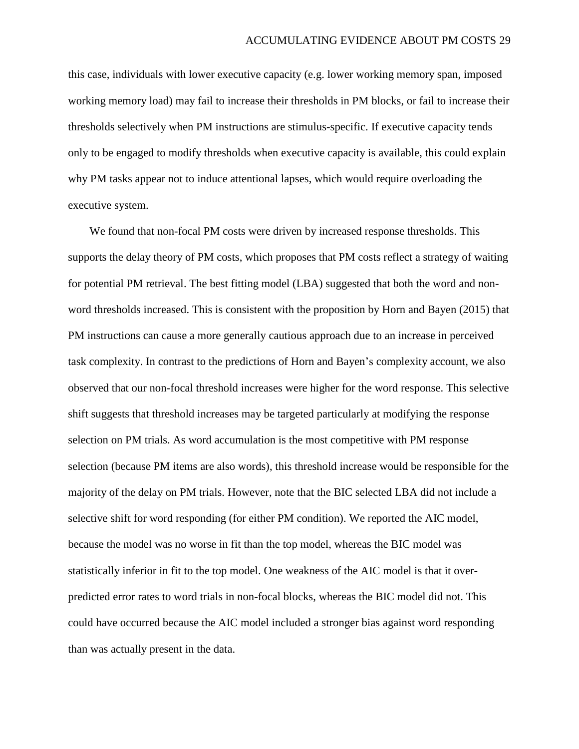this case, individuals with lower executive capacity (e.g. lower working memory span, imposed working memory load) may fail to increase their thresholds in PM blocks, or fail to increase their thresholds selectively when PM instructions are stimulus-specific. If executive capacity tends only to be engaged to modify thresholds when executive capacity is available, this could explain why PM tasks appear not to induce attentional lapses, which would require overloading the executive system.

We found that non-focal PM costs were driven by increased response thresholds. This supports the delay theory of PM costs, which proposes that PM costs reflect a strategy of waiting for potential PM retrieval. The best fitting model (LBA) suggested that both the word and nonword thresholds increased. This is consistent with the proposition by Horn and Bayen (2015) that PM instructions can cause a more generally cautious approach due to an increase in perceived task complexity. In contrast to the predictions of Horn and Bayen's complexity account, we also observed that our non-focal threshold increases were higher for the word response. This selective shift suggests that threshold increases may be targeted particularly at modifying the response selection on PM trials. As word accumulation is the most competitive with PM response selection (because PM items are also words), this threshold increase would be responsible for the majority of the delay on PM trials. However, note that the BIC selected LBA did not include a selective shift for word responding (for either PM condition). We reported the AIC model, because the model was no worse in fit than the top model, whereas the BIC model was statistically inferior in fit to the top model. One weakness of the AIC model is that it overpredicted error rates to word trials in non-focal blocks, whereas the BIC model did not. This could have occurred because the AIC model included a stronger bias against word responding than was actually present in the data.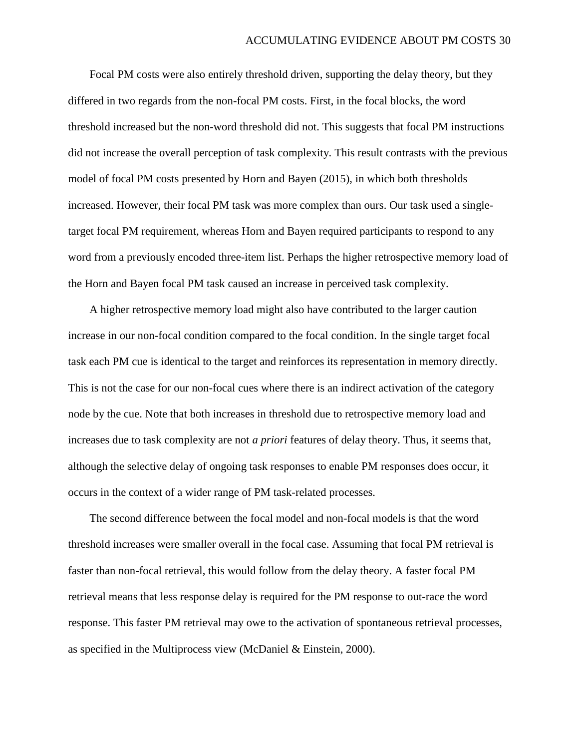Focal PM costs were also entirely threshold driven, supporting the delay theory, but they differed in two regards from the non-focal PM costs. First, in the focal blocks, the word threshold increased but the non-word threshold did not. This suggests that focal PM instructions did not increase the overall perception of task complexity. This result contrasts with the previous model of focal PM costs presented by Horn and Bayen (2015), in which both thresholds increased. However, their focal PM task was more complex than ours. Our task used a singletarget focal PM requirement, whereas Horn and Bayen required participants to respond to any word from a previously encoded three-item list. Perhaps the higher retrospective memory load of the Horn and Bayen focal PM task caused an increase in perceived task complexity.

A higher retrospective memory load might also have contributed to the larger caution increase in our non-focal condition compared to the focal condition. In the single target focal task each PM cue is identical to the target and reinforces its representation in memory directly. This is not the case for our non-focal cues where there is an indirect activation of the category node by the cue. Note that both increases in threshold due to retrospective memory load and increases due to task complexity are not *a priori* features of delay theory. Thus, it seems that, although the selective delay of ongoing task responses to enable PM responses does occur, it occurs in the context of a wider range of PM task-related processes.

The second difference between the focal model and non-focal models is that the word threshold increases were smaller overall in the focal case. Assuming that focal PM retrieval is faster than non-focal retrieval, this would follow from the delay theory. A faster focal PM retrieval means that less response delay is required for the PM response to out-race the word response. This faster PM retrieval may owe to the activation of spontaneous retrieval processes, as specified in the Multiprocess view (McDaniel & Einstein, 2000).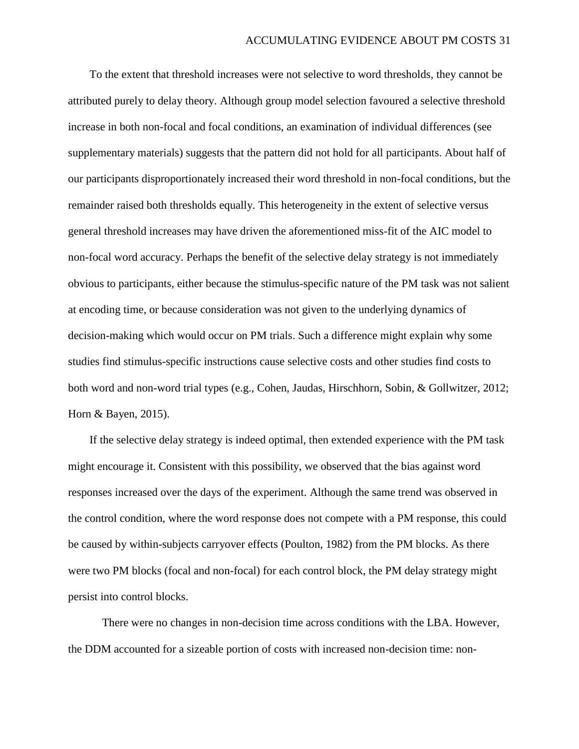To the extent that threshold increases were not selective to word thresholds, they cannot be attributed purely to delay theory. Although group model selection favoured a selective threshold increase in both non-focal and focal conditions, an examination of individual differences (see supplementary materials) suggests that the pattern did not hold for all participants. About half of our participants disproportionately increased their word threshold in non-focal conditions, but the remainder raised both thresholds equally. This heterogeneity in the extent of selective versus general threshold increases may have driven the aforementioned miss-fit of the AIC model to non-focal word accuracy. Perhaps the benefit of the selective delay strategy is not immediately obvious to participants, either because the stimulus-specific nature of the PM task was not salient at encoding time, or because consideration was not given to the underlying dynamics of decision-making which would occur on PM trials. Such a difference might explain why some studies find stimulus-specific instructions cause selective costs and other studies find costs to both word and non-word trial types (e.g., Cohen, Jaudas, Hirschhorn, Sobin, & Gollwitzer, 2012; Horn & Bayen, 2015).

If the selective delay strategy is indeed optimal, then extended experience with the PM task might encourage it. Consistent with this possibility, we observed that the bias against word responses increased over the days of the experiment. Although the same trend was observed in the control condition, where the word response does not compete with a PM response, this could be caused by within-subjects carryover effects (Poulton, 1982) from the PM blocks. As there were two PM blocks (focal and non-focal) for each control block, the PM delay strategy might persist into control blocks.

There were no changes in non-decision time across conditions with the LBA. However, the DDM accounted for a sizeable portion of costs with increased non-decision time: non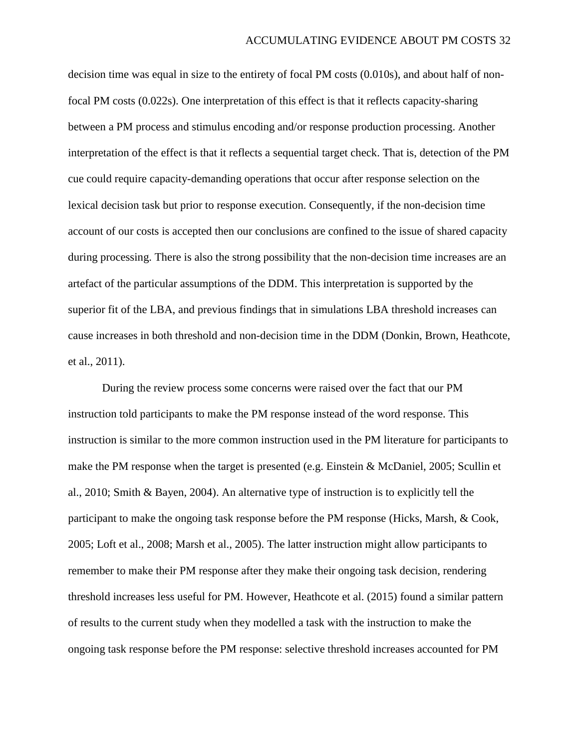decision time was equal in size to the entirety of focal PM costs (0.010s), and about half of nonfocal PM costs (0.022s). One interpretation of this effect is that it reflects capacity-sharing between a PM process and stimulus encoding and/or response production processing. Another interpretation of the effect is that it reflects a sequential target check. That is, detection of the PM cue could require capacity-demanding operations that occur after response selection on the lexical decision task but prior to response execution. Consequently, if the non-decision time account of our costs is accepted then our conclusions are confined to the issue of shared capacity during processing. There is also the strong possibility that the non-decision time increases are an artefact of the particular assumptions of the DDM. This interpretation is supported by the superior fit of the LBA, and previous findings that in simulations LBA threshold increases can cause increases in both threshold and non-decision time in the DDM (Donkin, Brown, Heathcote, et al., 2011).

During the review process some concerns were raised over the fact that our PM instruction told participants to make the PM response instead of the word response. This instruction is similar to the more common instruction used in the PM literature for participants to make the PM response when the target is presented (e.g. Einstein & McDaniel, 2005; Scullin et al., 2010; Smith & Bayen, 2004). An alternative type of instruction is to explicitly tell the participant to make the ongoing task response before the PM response (Hicks, Marsh, & Cook, 2005; Loft et al., 2008; Marsh et al., 2005). The latter instruction might allow participants to remember to make their PM response after they make their ongoing task decision, rendering threshold increases less useful for PM. However, Heathcote et al. (2015) found a similar pattern of results to the current study when they modelled a task with the instruction to make the ongoing task response before the PM response: selective threshold increases accounted for PM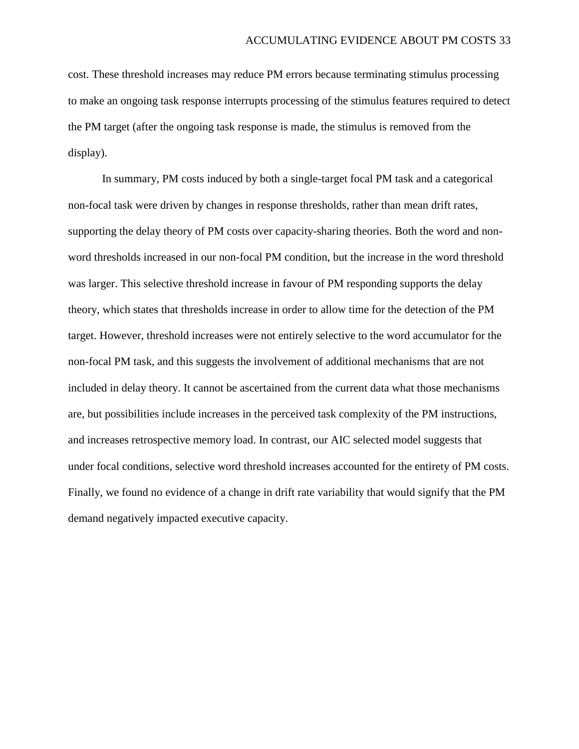cost. These threshold increases may reduce PM errors because terminating stimulus processing to make an ongoing task response interrupts processing of the stimulus features required to detect the PM target (after the ongoing task response is made, the stimulus is removed from the display).

In summary, PM costs induced by both a single-target focal PM task and a categorical non-focal task were driven by changes in response thresholds, rather than mean drift rates, supporting the delay theory of PM costs over capacity-sharing theories. Both the word and nonword thresholds increased in our non-focal PM condition, but the increase in the word threshold was larger. This selective threshold increase in favour of PM responding supports the delay theory, which states that thresholds increase in order to allow time for the detection of the PM target. However, threshold increases were not entirely selective to the word accumulator for the non-focal PM task, and this suggests the involvement of additional mechanisms that are not included in delay theory. It cannot be ascertained from the current data what those mechanisms are, but possibilities include increases in the perceived task complexity of the PM instructions, and increases retrospective memory load. In contrast, our AIC selected model suggests that under focal conditions, selective word threshold increases accounted for the entirety of PM costs. Finally, we found no evidence of a change in drift rate variability that would signify that the PM demand negatively impacted executive capacity.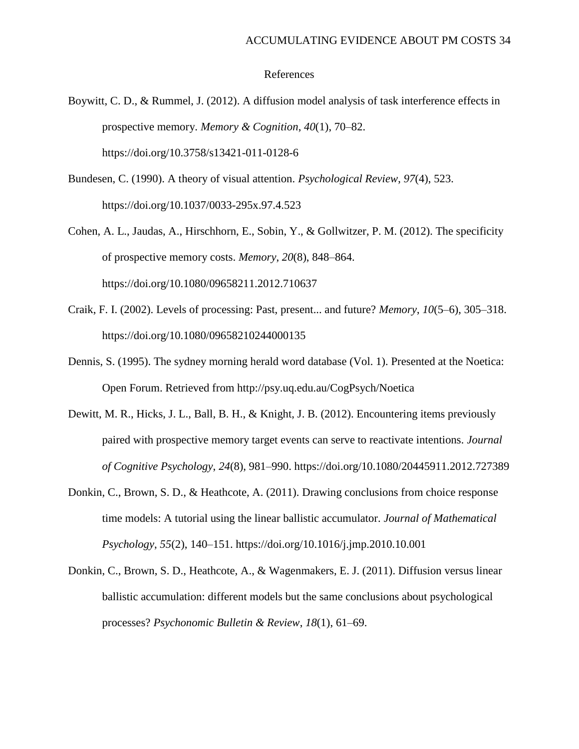#### References

- Boywitt, C. D., & Rummel, J. (2012). A diffusion model analysis of task interference effects in prospective memory. *Memory & Cognition*, *40*(1), 70–82. https://doi.org/10.3758/s13421-011-0128-6
- Bundesen, C. (1990). A theory of visual attention. *Psychological Review*, *97*(4), 523. https://doi.org/10.1037/0033-295x.97.4.523
- Cohen, A. L., Jaudas, A., Hirschhorn, E., Sobin, Y., & Gollwitzer, P. M. (2012). The specificity of prospective memory costs. *Memory*, *20*(8), 848–864. https://doi.org/10.1080/09658211.2012.710637
- Craik, F. I. (2002). Levels of processing: Past, present... and future? *Memory*, *10*(5–6), 305–318. https://doi.org/10.1080/09658210244000135
- Dennis, S. (1995). The sydney morning herald word database (Vol. 1). Presented at the Noetica: Open Forum. Retrieved from http://psy.uq.edu.au/CogPsych/Noetica
- Dewitt, M. R., Hicks, J. L., Ball, B. H., & Knight, J. B. (2012). Encountering items previously paired with prospective memory target events can serve to reactivate intentions. *Journal of Cognitive Psychology*, *24*(8), 981–990. https://doi.org/10.1080/20445911.2012.727389
- Donkin, C., Brown, S. D., & Heathcote, A. (2011). Drawing conclusions from choice response time models: A tutorial using the linear ballistic accumulator. *Journal of Mathematical Psychology*, *55*(2), 140–151. https://doi.org/10.1016/j.jmp.2010.10.001
- Donkin, C., Brown, S. D., Heathcote, A., & Wagenmakers, E. J. (2011). Diffusion versus linear ballistic accumulation: different models but the same conclusions about psychological processes? *Psychonomic Bulletin & Review*, *18*(1), 61–69.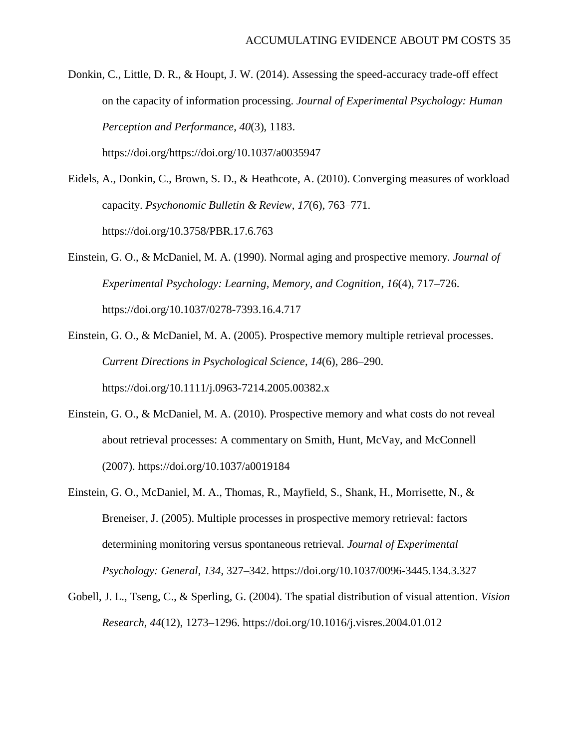- Donkin, C., Little, D. R., & Houpt, J. W. (2014). Assessing the speed-accuracy trade-off effect on the capacity of information processing. *Journal of Experimental Psychology: Human Perception and Performance*, *40*(3), 1183. https://doi.org/https://doi.org/10.1037/a0035947
- Eidels, A., Donkin, C., Brown, S. D., & Heathcote, A. (2010). Converging measures of workload capacity. *Psychonomic Bulletin & Review*, *17*(6), 763–771. https://doi.org/10.3758/PBR.17.6.763
- Einstein, G. O., & McDaniel, M. A. (1990). Normal aging and prospective memory. *Journal of Experimental Psychology: Learning, Memory, and Cognition*, *16*(4), 717–726. https://doi.org/10.1037/0278-7393.16.4.717
- Einstein, G. O., & McDaniel, M. A. (2005). Prospective memory multiple retrieval processes. *Current Directions in Psychological Science*, *14*(6), 286–290. https://doi.org/10.1111/j.0963-7214.2005.00382.x
- Einstein, G. O., & McDaniel, M. A. (2010). Prospective memory and what costs do not reveal about retrieval processes: A commentary on Smith, Hunt, McVay, and McConnell (2007). https://doi.org/10.1037/a0019184
- Einstein, G. O., McDaniel, M. A., Thomas, R., Mayfield, S., Shank, H., Morrisette, N., & Breneiser, J. (2005). Multiple processes in prospective memory retrieval: factors determining monitoring versus spontaneous retrieval. *Journal of Experimental Psychology: General*, *134*, 327–342. https://doi.org/10.1037/0096-3445.134.3.327
- Gobell, J. L., Tseng, C., & Sperling, G. (2004). The spatial distribution of visual attention. *Vision Research*, *44*(12), 1273–1296. https://doi.org/10.1016/j.visres.2004.01.012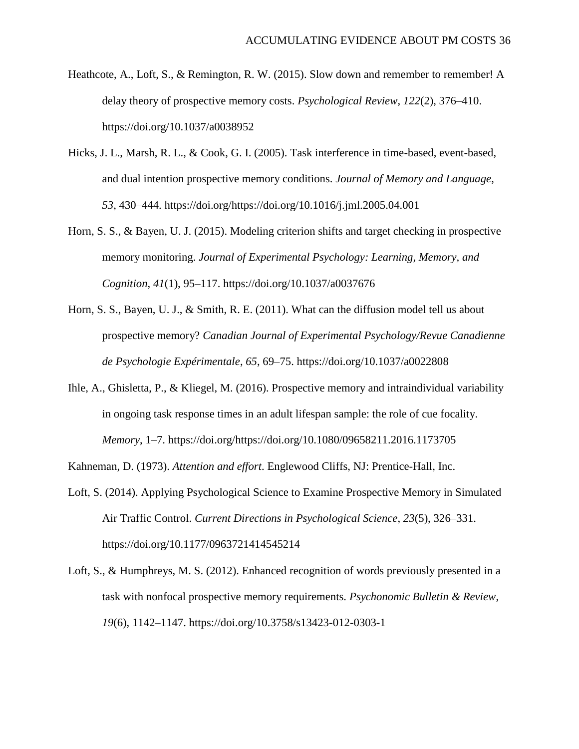- Heathcote, A., Loft, S., & Remington, R. W. (2015). Slow down and remember to remember! A delay theory of prospective memory costs. *Psychological Review*, *122*(2), 376–410. https://doi.org/10.1037/a0038952
- Hicks, J. L., Marsh, R. L., & Cook, G. I. (2005). Task interference in time-based, event-based, and dual intention prospective memory conditions. *Journal of Memory and Language*, *53*, 430–444. https://doi.org/https://doi.org/10.1016/j.jml.2005.04.001
- Horn, S. S., & Bayen, U. J. (2015). Modeling criterion shifts and target checking in prospective memory monitoring. *Journal of Experimental Psychology: Learning, Memory, and Cognition*, *41*(1), 95–117. https://doi.org/10.1037/a0037676
- Horn, S. S., Bayen, U. J., & Smith, R. E. (2011). What can the diffusion model tell us about prospective memory? *Canadian Journal of Experimental Psychology/Revue Canadienne de Psychologie Expérimentale*, *65*, 69–75. https://doi.org/10.1037/a0022808
- Ihle, A., Ghisletta, P., & Kliegel, M. (2016). Prospective memory and intraindividual variability in ongoing task response times in an adult lifespan sample: the role of cue focality. *Memory*, 1–7. https://doi.org/https://doi.org/10.1080/09658211.2016.1173705

Kahneman, D. (1973). *Attention and effort*. Englewood Cliffs, NJ: Prentice-Hall, Inc.

- Loft, S. (2014). Applying Psychological Science to Examine Prospective Memory in Simulated Air Traffic Control. *Current Directions in Psychological Science*, *23*(5), 326–331. https://doi.org/10.1177/0963721414545214
- Loft, S., & Humphreys, M. S. (2012). Enhanced recognition of words previously presented in a task with nonfocal prospective memory requirements. *Psychonomic Bulletin & Review*, *19*(6), 1142–1147. https://doi.org/10.3758/s13423-012-0303-1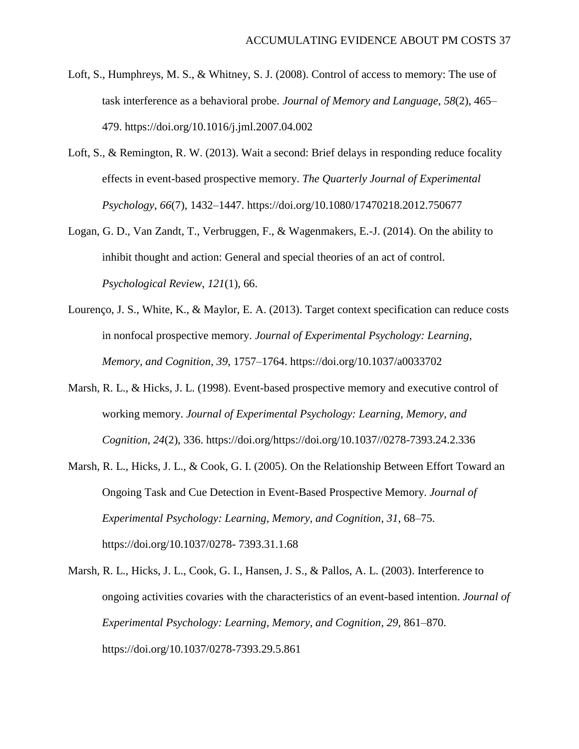- Loft, S., Humphreys, M. S., & Whitney, S. J. (2008). Control of access to memory: The use of task interference as a behavioral probe. *Journal of Memory and Language*, *58*(2), 465– 479. https://doi.org/10.1016/j.jml.2007.04.002
- Loft, S., & Remington, R. W. (2013). Wait a second: Brief delays in responding reduce focality effects in event-based prospective memory. *The Quarterly Journal of Experimental Psychology*, *66*(7), 1432–1447. https://doi.org/10.1080/17470218.2012.750677
- Logan, G. D., Van Zandt, T., Verbruggen, F., & Wagenmakers, E.-J. (2014). On the ability to inhibit thought and action: General and special theories of an act of control. *Psychological Review*, *121*(1), 66.
- Lourenço, J. S., White, K., & Maylor, E. A. (2013). Target context specification can reduce costs in nonfocal prospective memory. *Journal of Experimental Psychology: Learning, Memory, and Cognition*, *39*, 1757–1764. https://doi.org/10.1037/a0033702
- Marsh, R. L., & Hicks, J. L. (1998). Event-based prospective memory and executive control of working memory. *Journal of Experimental Psychology: Learning, Memory, and Cognition*, *24*(2), 336. https://doi.org/https://doi.org/10.1037//0278-7393.24.2.336
- Marsh, R. L., Hicks, J. L., & Cook, G. I. (2005). On the Relationship Between Effort Toward an Ongoing Task and Cue Detection in Event-Based Prospective Memory. *Journal of Experimental Psychology: Learning, Memory, and Cognition*, *31*, 68–75. https://doi.org/10.1037/0278- 7393.31.1.68
- Marsh, R. L., Hicks, J. L., Cook, G. I., Hansen, J. S., & Pallos, A. L. (2003). Interference to ongoing activities covaries with the characteristics of an event-based intention. *Journal of Experimental Psychology: Learning, Memory, and Cognition*, *29*, 861–870. https://doi.org/10.1037/0278-7393.29.5.861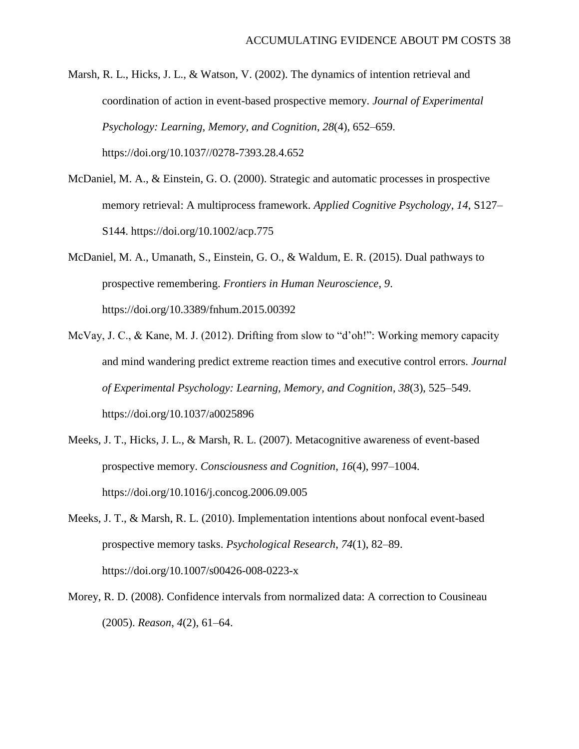Marsh, R. L., Hicks, J. L., & Watson, V. (2002). The dynamics of intention retrieval and coordination of action in event-based prospective memory. *Journal of Experimental Psychology: Learning, Memory, and Cognition*, *28*(4), 652–659. https://doi.org/10.1037//0278-7393.28.4.652

- McDaniel, M. A., & Einstein, G. O. (2000). Strategic and automatic processes in prospective memory retrieval: A multiprocess framework. *Applied Cognitive Psychology*, *14*, S127– S144. https://doi.org/10.1002/acp.775
- McDaniel, M. A., Umanath, S., Einstein, G. O., & Waldum, E. R. (2015). Dual pathways to prospective remembering. *Frontiers in Human Neuroscience*, *9*. https://doi.org/10.3389/fnhum.2015.00392
- McVay, J. C., & Kane, M. J. (2012). Drifting from slow to "d'oh!": Working memory capacity and mind wandering predict extreme reaction times and executive control errors. *Journal of Experimental Psychology: Learning, Memory, and Cognition*, *38*(3), 525–549. https://doi.org/10.1037/a0025896
- Meeks, J. T., Hicks, J. L., & Marsh, R. L. (2007). Metacognitive awareness of event-based prospective memory. *Consciousness and Cognition*, *16*(4), 997–1004. https://doi.org/10.1016/j.concog.2006.09.005
- Meeks, J. T., & Marsh, R. L. (2010). Implementation intentions about nonfocal event-based prospective memory tasks. *Psychological Research*, *74*(1), 82–89. https://doi.org/10.1007/s00426-008-0223-x
- Morey, R. D. (2008). Confidence intervals from normalized data: A correction to Cousineau (2005). *Reason*, *4*(2), 61–64.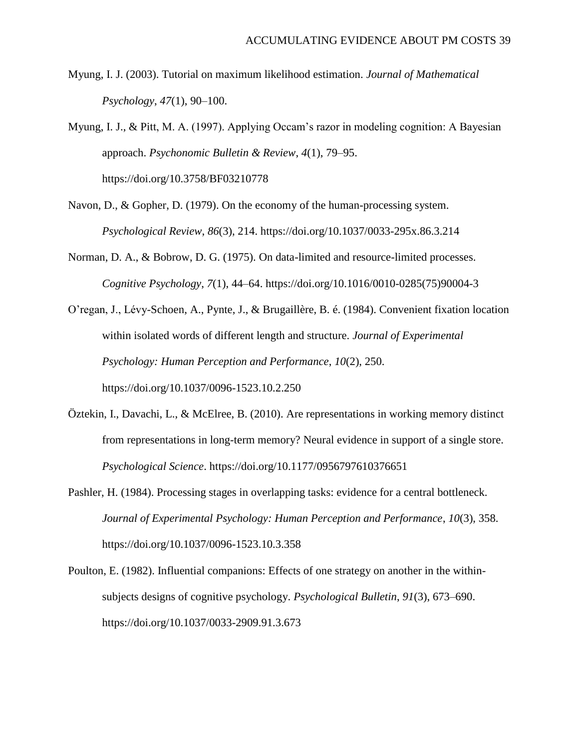- Myung, I. J. (2003). Tutorial on maximum likelihood estimation. *Journal of Mathematical Psychology*, *47*(1), 90–100.
- Myung, I. J., & Pitt, M. A. (1997). Applying Occam's razor in modeling cognition: A Bayesian approach. *Psychonomic Bulletin & Review*, *4*(1), 79–95. https://doi.org/10.3758/BF03210778
- Navon, D., & Gopher, D. (1979). On the economy of the human-processing system. *Psychological Review*, *86*(3), 214. https://doi.org/10.1037/0033-295x.86.3.214
- Norman, D. A., & Bobrow, D. G. (1975). On data-limited and resource-limited processes. *Cognitive Psychology*, *7*(1), 44–64. https://doi.org/10.1016/0010-0285(75)90004-3
- O'regan, J., Lévy-Schoen, A., Pynte, J., & Brugaillère, B. é. (1984). Convenient fixation location within isolated words of different length and structure. *Journal of Experimental Psychology: Human Perception and Performance*, *10*(2), 250. https://doi.org/10.1037/0096-1523.10.2.250
- Öztekin, I., Davachi, L., & McElree, B. (2010). Are representations in working memory distinct from representations in long-term memory? Neural evidence in support of a single store. *Psychological Science*. https://doi.org/10.1177/0956797610376651
- Pashler, H. (1984). Processing stages in overlapping tasks: evidence for a central bottleneck. *Journal of Experimental Psychology: Human Perception and Performance*, *10*(3), 358. https://doi.org/10.1037/0096-1523.10.3.358
- Poulton, E. (1982). Influential companions: Effects of one strategy on another in the withinsubjects designs of cognitive psychology. *Psychological Bulletin*, *91*(3), 673–690. https://doi.org/10.1037/0033-2909.91.3.673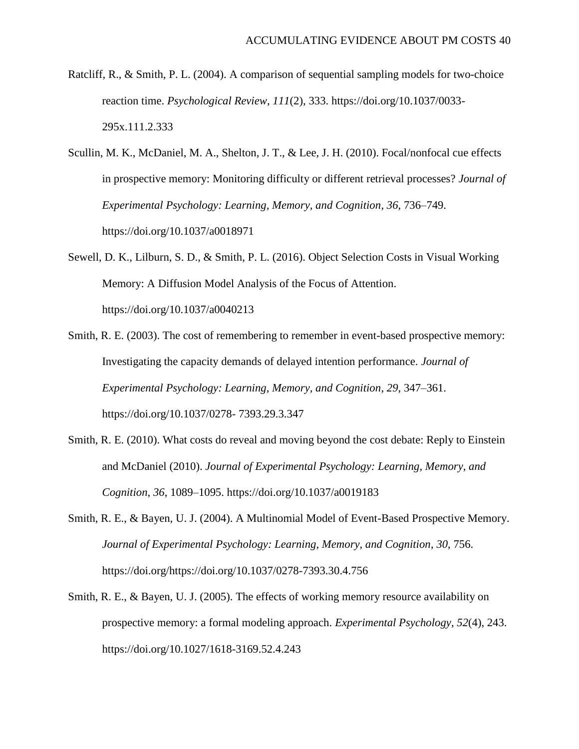- Ratcliff, R., & Smith, P. L. (2004). A comparison of sequential sampling models for two-choice reaction time. *Psychological Review*, *111*(2), 333. https://doi.org/10.1037/0033- 295x.111.2.333
- Scullin, M. K., McDaniel, M. A., Shelton, J. T., & Lee, J. H. (2010). Focal/nonfocal cue effects in prospective memory: Monitoring difficulty or different retrieval processes? *Journal of Experimental Psychology: Learning, Memory, and Cognition*, *36*, 736–749. https://doi.org/10.1037/a0018971
- Sewell, D. K., Lilburn, S. D., & Smith, P. L. (2016). Object Selection Costs in Visual Working Memory: A Diffusion Model Analysis of the Focus of Attention. https://doi.org/10.1037/a0040213
- Smith, R. E. (2003). The cost of remembering to remember in event-based prospective memory: Investigating the capacity demands of delayed intention performance. *Journal of Experimental Psychology: Learning, Memory, and Cognition*, *29*, 347–361. https://doi.org/10.1037/0278- 7393.29.3.347
- Smith, R. E. (2010). What costs do reveal and moving beyond the cost debate: Reply to Einstein and McDaniel (2010). *Journal of Experimental Psychology: Learning, Memory, and Cognition*, *36*, 1089–1095. https://doi.org/10.1037/a0019183
- Smith, R. E., & Bayen, U. J. (2004). A Multinomial Model of Event-Based Prospective Memory. *Journal of Experimental Psychology: Learning, Memory, and Cognition*, *30*, 756. https://doi.org/https://doi.org/10.1037/0278-7393.30.4.756
- Smith, R. E., & Bayen, U. J. (2005). The effects of working memory resource availability on prospective memory: a formal modeling approach. *Experimental Psychology*, *52*(4), 243. https://doi.org/10.1027/1618-3169.52.4.243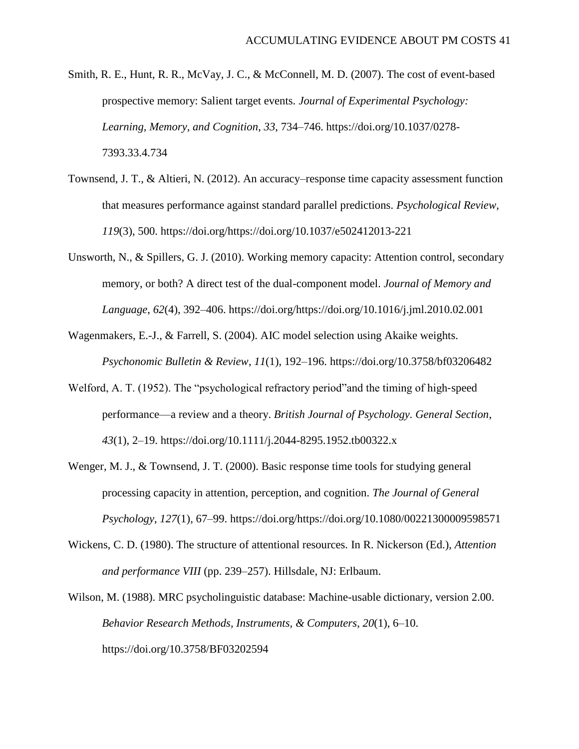- Smith, R. E., Hunt, R. R., McVay, J. C., & McConnell, M. D. (2007). The cost of event-based prospective memory: Salient target events. *Journal of Experimental Psychology: Learning, Memory, and Cognition*, *33*, 734–746. https://doi.org/10.1037/0278- 7393.33.4.734
- Townsend, J. T., & Altieri, N. (2012). An accuracy–response time capacity assessment function that measures performance against standard parallel predictions. *Psychological Review*, *119*(3), 500. https://doi.org/https://doi.org/10.1037/e502412013-221
- Unsworth, N., & Spillers, G. J. (2010). Working memory capacity: Attention control, secondary memory, or both? A direct test of the dual-component model. *Journal of Memory and Language*, *62*(4), 392–406. https://doi.org/https://doi.org/10.1016/j.jml.2010.02.001
- Wagenmakers, E.-J., & Farrell, S. (2004). AIC model selection using Akaike weights. *Psychonomic Bulletin & Review*, *11*(1), 192–196. https://doi.org/10.3758/bf03206482
- Welford, A. T. (1952). The "psychological refractory period" and the timing of high-speed performance—a review and a theory. *British Journal of Psychology. General Section*, *43*(1), 2–19. https://doi.org/10.1111/j.2044-8295.1952.tb00322.x
- Wenger, M. J., & Townsend, J. T. (2000). Basic response time tools for studying general processing capacity in attention, perception, and cognition. *The Journal of General Psychology*, *127*(1), 67–99. https://doi.org/https://doi.org/10.1080/00221300009598571
- Wickens, C. D. (1980). The structure of attentional resources. In R. Nickerson (Ed.), *Attention and performance VIII* (pp. 239–257). Hillsdale, NJ: Erlbaum.
- Wilson, M. (1988). MRC psycholinguistic database: Machine-usable dictionary, version 2.00. *Behavior Research Methods, Instruments, & Computers*, *20*(1), 6–10. https://doi.org/10.3758/BF03202594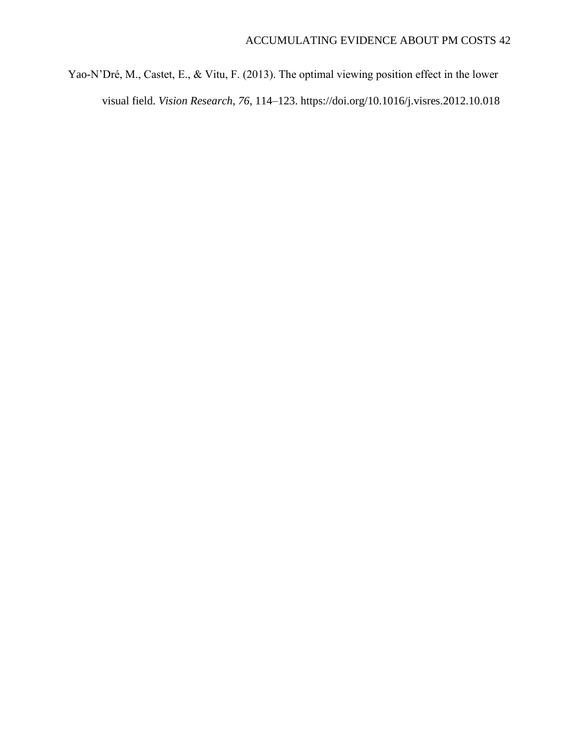Yao-N'Dré, M., Castet, E., & Vitu, F. (2013). The optimal viewing position effect in the lower visual field. *Vision Research*, *76*, 114–123. https://doi.org/10.1016/j.visres.2012.10.018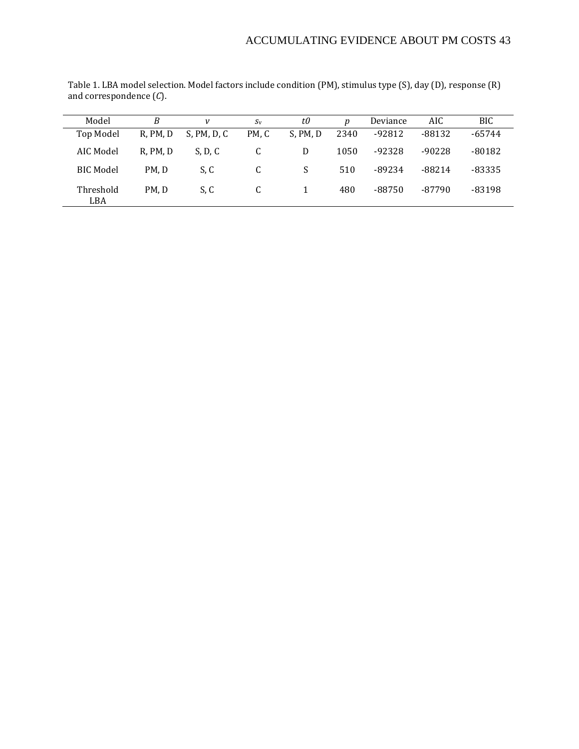| Model            | B                | ν              | $S_{V}$ | t0       | p    | Deviance | AIC.     | <b>BIC</b> |
|------------------|------------------|----------------|---------|----------|------|----------|----------|------------|
| Top Model        | $R$ , $PM$ , $D$ | $S$ , PM, D, C | PM, C   | S, PM, D | 2340 | -92812   | $-88132$ | $-65744$   |
| AIC Model        | $R$ , $PM$ , $D$ | S, D, C        | C       | D        | 1050 | $-92328$ | $-90228$ | $-80182$   |
| <b>BIC Model</b> | PM.D             | S.C            | C       | S        | 510  | $-89234$ | $-88214$ | $-83335$   |
| Threshold<br>LBA | PM.D             | S.C            |         |          | 480  | $-88750$ | -87790   | $-83198$   |

Table 1. LBA model selection. Model factors include condition (PM), stimulus type (S), day (D), response (R) and correspondence (*C*).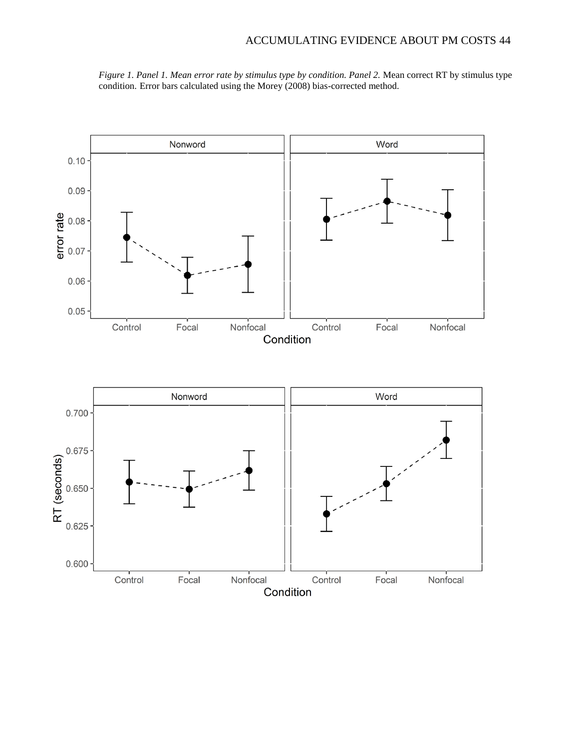

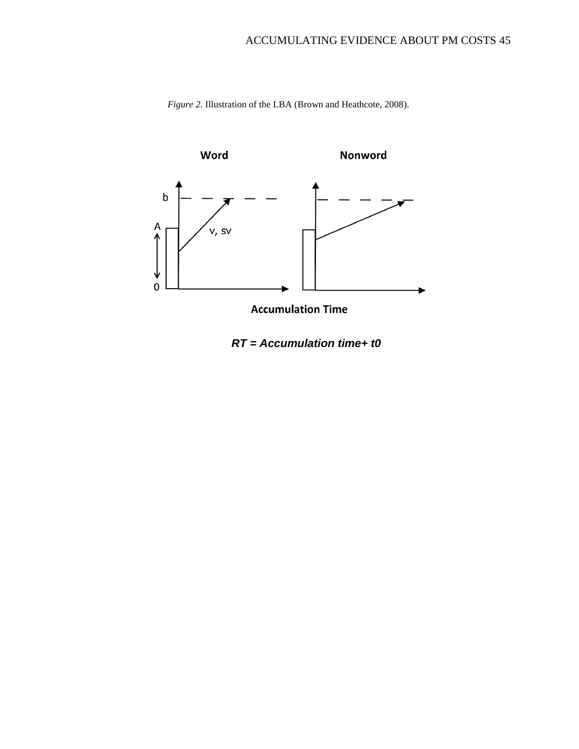

*Figure 2.* Illustration of the LBA (Brown and Heathcote, 2008).

**Accumulation Time** 

*RT = Accumulation time+ t0*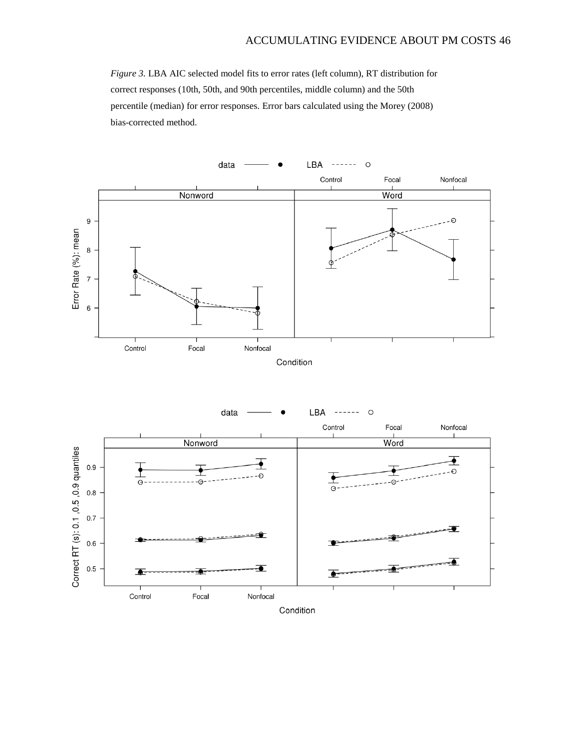*Figure 3.* LBA AIC selected model fits to error rates (left column), RT distribution for correct responses (10th, 50th, and 90th percentiles, middle column) and the 50th percentile (median) for error responses. Error bars calculated using the Morey (2008) bias-corrected method.





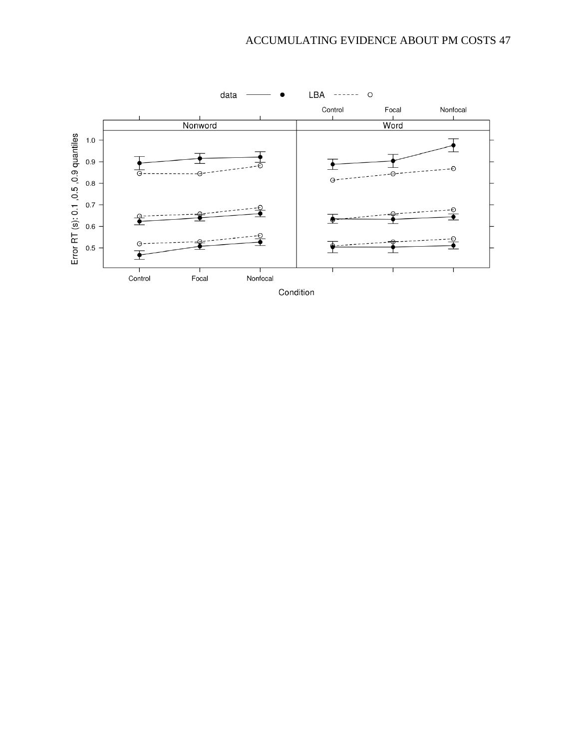

Condition